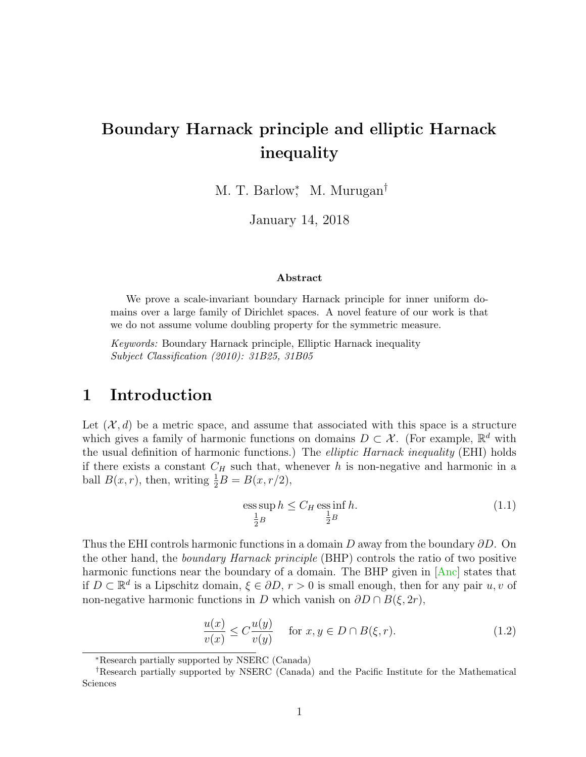# Boundary Harnack principle and elliptic Harnack inequality

M. T. Barlow<sup>\*</sup>, M. Murugan<sup>†</sup>

January 14, 2018

#### Abstract

We prove a scale-invariant boundary Harnack principle for inner uniform domains over a large family of Dirichlet spaces. A novel feature of our work is that we do not assume volume doubling property for the symmetric measure.

Keywords: Boundary Harnack principle, Elliptic Harnack inequality Subject Classification (2010): 31B25, 31B05

### 1 Introduction

Let  $(\mathcal{X}, d)$  be a metric space, and assume that associated with this space is a structure which gives a family of harmonic functions on domains  $D \subset \mathcal{X}$ . (For example,  $\mathbb{R}^d$  with the usual definition of harmonic functions.) The elliptic Harnack inequality (EHI) holds if there exists a constant  $C_H$  such that, whenever h is non-negative and harmonic in a ball  $B(x,r)$ , then, writing  $\frac{1}{2}B = B(x, r/2)$ ,

$$
\operatorname{ess} \sup_{\frac{1}{2}B} h \le C_H \operatorname{ess} \inf_{\frac{1}{2}B} h. \tag{1.1}
$$

Thus the EHI controls harmonic functions in a domain D away from the boundary  $\partial D$ . On the other hand, the boundary Harnack principle (BHP) controls the ratio of two positive harmonic functions near the boundary of a domain. The BHP given in [\[Anc\]](#page-28-0) states that if  $D \subset \mathbb{R}^d$  is a Lipschitz domain,  $\xi \in \partial D, r > 0$  is small enough, then for any pair  $u, v$  of non-negative harmonic functions in D which vanish on  $\partial D \cap B(\xi, 2r)$ ,

$$
\frac{u(x)}{v(x)} \le C \frac{u(y)}{v(y)} \quad \text{ for } x, y \in D \cap B(\xi, r). \tag{1.2}
$$

<sup>∗</sup>Research partially supported by NSERC (Canada)

<sup>†</sup>Research partially supported by NSERC (Canada) and the Pacific Institute for the Mathematical Sciences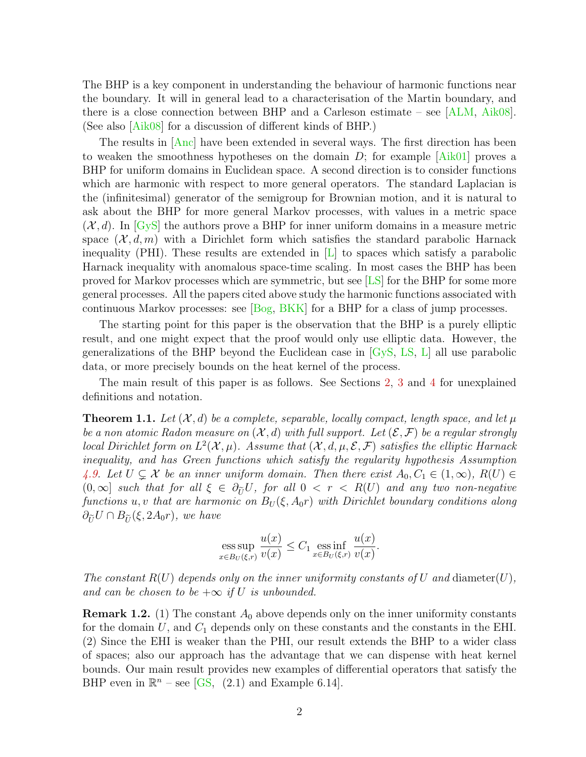The BHP is a key component in understanding the behaviour of harmonic functions near the boundary. It will in general lead to a characterisation of the Martin boundary, and there is a close connection between BHP and a Carleson estimate – see [\[ALM,](#page-28-1) [Aik08\]](#page-28-2). (See also [\[Aik08\]](#page-28-2) for a discussion of different kinds of BHP.)

The results in  $[Anc]$  have been extended in several ways. The first direction has been to weaken the smoothness hypotheses on the domain  $D$ ; for example  $[Aik01]$  proves a BHP for uniform domains in Euclidean space. A second direction is to consider functions which are harmonic with respect to more general operators. The standard Laplacian is the (infinitesimal) generator of the semigroup for Brownian motion, and it is natural to ask about the BHP for more general Markov processes, with values in a metric space  $(\mathcal{X}, d)$ . In [\[GyS\]](#page-30-0) the authors prove a BHP for inner uniform domains in a measure metric space  $(\mathcal{X}, d, m)$  with a Dirichlet form which satisfies the standard parabolic Harnack inequality (PHI). These results are extended in  $[L]$  to spaces which satisfy a parabolic Harnack inequality with anomalous space-time scaling. In most cases the BHP has been proved for Markov processes which are symmetric, but see [\[LS\]](#page-30-2) for the BHP for some more general processes. All the papers cited above study the harmonic functions associated with continuous Markov processes: see [\[Bog,](#page-29-0) [BKK\]](#page-29-1) for a BHP for a class of jump processes.

The starting point for this paper is the observation that the BHP is a purely elliptic result, and one might expect that the proof would only use elliptic data. However, the generalizations of the BHP beyond the Euclidean case in [\[GyS,](#page-30-0) [LS,](#page-30-2) [L\]](#page-30-1) all use parabolic data, or more precisely bounds on the heat kernel of the process.

The main result of this paper is as follows. See Sections [2,](#page-2-0) [3](#page-5-0) and [4](#page-7-0) for unexplained definitions and notation.

<span id="page-1-0"></span>**Theorem 1.1.** Let  $(X, d)$  be a complete, separable, locally compact, length space, and let  $\mu$ be a non atomic Radon measure on  $(X, d)$  with full support. Let  $(\mathcal{E}, \mathcal{F})$  be a regular strongly local Dirichlet form on  $L^2(\mathcal{X}, \mu)$ . Assume that  $(\mathcal{X}, d, \mu, \mathcal{E}, \mathcal{F})$  satisfies the elliptic Harnack inequality, and has Green functions which satisfy the regularity hypothesis Assumption [4.9.](#page-9-0) Let  $U \subsetneq \mathcal{X}$  be an inner uniform domain. Then there exist  $A_0, C_1 \in (1,\infty), R(U) \in$  $(0,\infty]$  such that for all  $\xi \in \partial_{\tilde{U}}U$ , for all  $0 < r < R(U)$  and any two non-negative functions u, v that are harmonic on  $B_U(\xi, A_0r)$  with Dirichlet boundary conditions along  $\partial_{\tilde{U}}U \cap B_{\tilde{U}}(\xi, 2A_0r)$ , we have

ess sup 
$$
\frac{u(x)}{x \in B_U(\xi,r)} \frac{u(x)}{v(x)} \leq C_1 \operatorname*{ess\,inf}_{x \in B_U(\xi,r)} \frac{u(x)}{v(x)}
$$
.

The constant  $R(U)$  depends only on the inner uniformity constants of U and diameter(U), and can be chosen to be  $+\infty$  if U is unbounded.

**Remark 1.2.** (1) The constant  $A_0$  above depends only on the inner uniformity constants for the domain  $U$ , and  $C_1$  depends only on these constants and the constants in the EHI. (2) Since the EHI is weaker than the PHI, our result extends the BHP to a wider class of spaces; also our approach has the advantage that we can dispense with heat kernel bounds. Our main result provides new examples of differential operators that satisfy the BHP even in  $\mathbb{R}^n$  – see [\[GS,](#page-30-3) (2.1) and Example 6.14].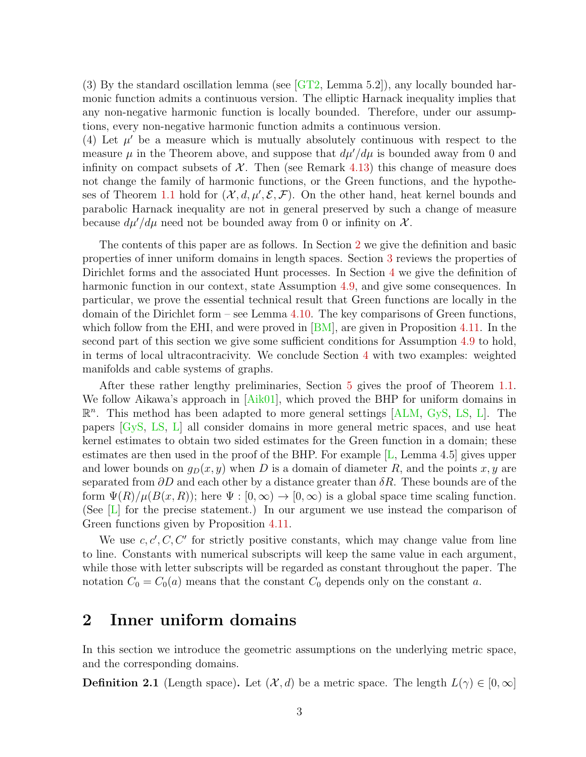(3) By the standard oscillation lemma (see [\[GT2,](#page-30-4) Lemma 5.2]), any locally bounded harmonic function admits a continuous version. The elliptic Harnack inequality implies that any non-negative harmonic function is locally bounded. Therefore, under our assumptions, every non-negative harmonic function admits a continuous version.

(4) Let  $\mu'$  be a measure which is mutually absolutely continuous with respect to the measure  $\mu$  in the Theorem above, and suppose that  $d\mu'/d\mu$  is bounded away from 0 and infinity on compact subsets of  $X$ . Then (see Remark [4.13\)](#page-12-0) this change of measure does not change the family of harmonic functions, or the Green functions, and the hypothe-ses of Theorem [1.1](#page-1-0) hold for  $(\mathcal{X}, d, \mu', \mathcal{E}, \mathcal{F})$ . On the other hand, heat kernel bounds and parabolic Harnack inequality are not in general preserved by such a change of measure because  $d\mu'/d\mu$  need not be bounded away from 0 or infinity on X.

The contents of this paper are as follows. In Section [2](#page-2-0) we give the definition and basic properties of inner uniform domains in length spaces. Section [3](#page-5-0) reviews the properties of Dirichlet forms and the associated Hunt processes. In Section [4](#page-7-0) we give the definition of harmonic function in our context, state Assumption [4.9,](#page-9-0) and give some consequences. In particular, we prove the essential technical result that Green functions are locally in the domain of the Dirichlet form – see Lemma [4.10.](#page-10-0) The key comparisons of Green functions, which follow from the EHI, and were proved in  $|BM|$ , are given in Proposition [4.11.](#page-11-0) In the second part of this section we give some sufficient conditions for Assumption [4.9](#page-9-0) to hold, in terms of local ultracontracivity. We conclude Section [4](#page-7-0) with two examples: weighted manifolds and cable systems of graphs.

After these rather lengthy preliminaries, Section [5](#page-20-0) gives the proof of Theorem [1.1.](#page-1-0) We follow Aikawa's approach in [\[Aik01\]](#page-28-3), which proved the BHP for uniform domains in  $\mathbb{R}^n$ . This method has been adapted to more general settings [\[ALM,](#page-28-1) [GyS,](#page-30-0) [LS,](#page-30-2) [L\]](#page-30-1). The papers [\[GyS,](#page-30-0) [LS,](#page-30-2) [L\]](#page-30-1) all consider domains in more general metric spaces, and use heat kernel estimates to obtain two sided estimates for the Green function in a domain; these estimates are then used in the proof of the BHP. For example  $[L, L, H]$  gives upper and lower bounds on  $g_D(x, y)$  when D is a domain of diameter R, and the points x, y are separated from  $\partial D$  and each other by a distance greater than  $\delta R$ . These bounds are of the form  $\Psi(R)/\mu(B(x,R))$ ; here  $\Psi : [0,\infty) \to [0,\infty)$  is a global space time scaling function. (See [\[L\]](#page-30-1) for the precise statement.) In our argument we use instead the comparison of Green functions given by Proposition [4.11.](#page-11-0)

We use  $c, c', C, C'$  for strictly positive constants, which may change value from line to line. Constants with numerical subscripts will keep the same value in each argument, while those with letter subscripts will be regarded as constant throughout the paper. The notation  $C_0 = C_0(a)$  means that the constant  $C_0$  depends only on the constant a.

# <span id="page-2-0"></span>2 Inner uniform domains

In this section we introduce the geometric assumptions on the underlying metric space, and the corresponding domains.

**Definition 2.1** (Length space). Let  $(\mathcal{X}, d)$  be a metric space. The length  $L(\gamma) \in [0, \infty]$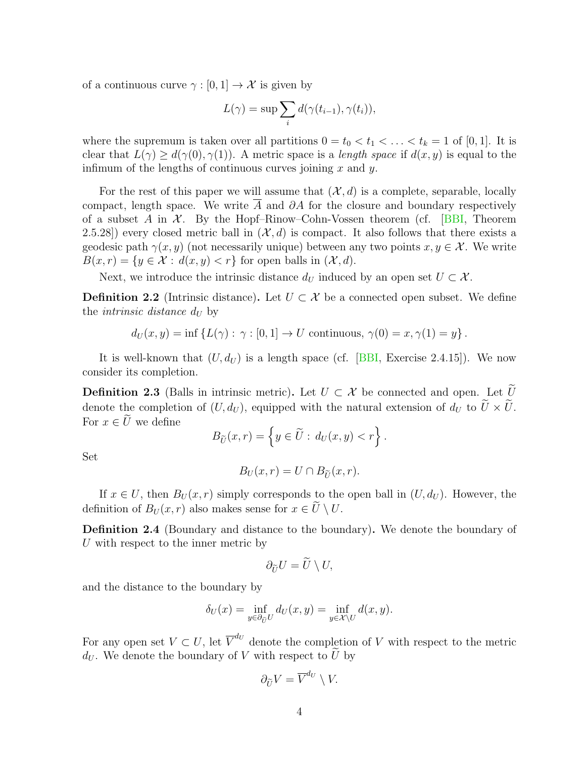of a continuous curve  $\gamma : [0, 1] \to \mathcal{X}$  is given by

$$
L(\gamma) = \sup \sum_{i} d(\gamma(t_{i-1}), \gamma(t_i)),
$$

where the supremum is taken over all partitions  $0 = t_0 < t_1 < \ldots < t_k = 1$  of [0, 1]. It is clear that  $L(\gamma) \geq d(\gamma(0), \gamma(1))$ . A metric space is a *length space* if  $d(x, y)$  is equal to the infimum of the lengths of continuous curves joining  $x$  and  $y$ .

For the rest of this paper we will assume that  $(\mathcal{X}, d)$  is a complete, separable, locally compact, length space. We write A and  $\partial A$  for the closure and boundary respectively of a subset A in  $\mathcal{X}$ . By the Hopf–Rinow–Cohn-Vossen theorem (cf. [\[BBI,](#page-29-2) Theorem 2.5.28) every closed metric ball in  $(\mathcal{X}, d)$  is compact. It also follows that there exists a geodesic path  $\gamma(x, y)$  (not necessarily unique) between any two points  $x, y \in \mathcal{X}$ . We write  $B(x, r) = \{y \in \mathcal{X} : d(x, y) < r\}$  for open balls in  $(\mathcal{X}, d)$ .

Next, we introduce the intrinsic distance  $d_U$  induced by an open set  $U \subset \mathcal{X}$ .

**Definition 2.2** (Intrinsic distance). Let  $U \subset \mathcal{X}$  be a connected open subset. We define the *intrinsic* distance  $d_U$  by

 $d_U(x, y) = \inf \{L(\gamma) : \gamma : [0, 1] \to U \text{ continuous}, \gamma(0) = x, \gamma(1) = y\}.$ 

It is well-known that  $(U, d_U)$  is a length space (cf. [\[BBI,](#page-29-2) Exercise 2.4.15]). We now consider its completion.

**Definition 2.3** (Balls in intrinsic metric). Let  $U \subset \mathcal{X}$  be connected and open. Let  $\widetilde{U}$ denote the completion of  $(U, d_U)$ , equipped with the natural extension of  $d_U$  to  $\widetilde{U} \times \widetilde{U}$ . For  $x \in \tilde{U}$  we define

$$
B_{\widetilde{U}}(x,r) = \left\{ y \in \widetilde{U} : d_U(x,y) < r \right\}.
$$

Set

$$
B_U(x,r) = U \cap B_{\widetilde{U}}(x,r).
$$

If  $x \in U$ , then  $B_U(x, r)$  simply corresponds to the open ball in  $(U, d_U)$ . However, the definition of  $B_U(x, r)$  also makes sense for  $x \in \tilde{U} \setminus U$ .

Definition 2.4 (Boundary and distance to the boundary). We denote the boundary of U with respect to the inner metric by

$$
\partial_{\widetilde{U}}U=\widetilde{U}\setminus U,
$$

and the distance to the boundary by

$$
\delta_U(x) = \inf_{y \in \partial_{\widetilde{U}}} d_U(x, y) = \inf_{y \in \mathcal{X} \backslash U} d(x, y).
$$

For any open set  $V \subset U$ , let  $\overline{V}^{d_U}$  denote the completion of V with respect to the metric  $d_U$ . We denote the boundary of V with respect to  $\tilde{U}$  by

$$
\partial_{\widetilde{U}}V=\overline{V}^{d_U}\setminus V.
$$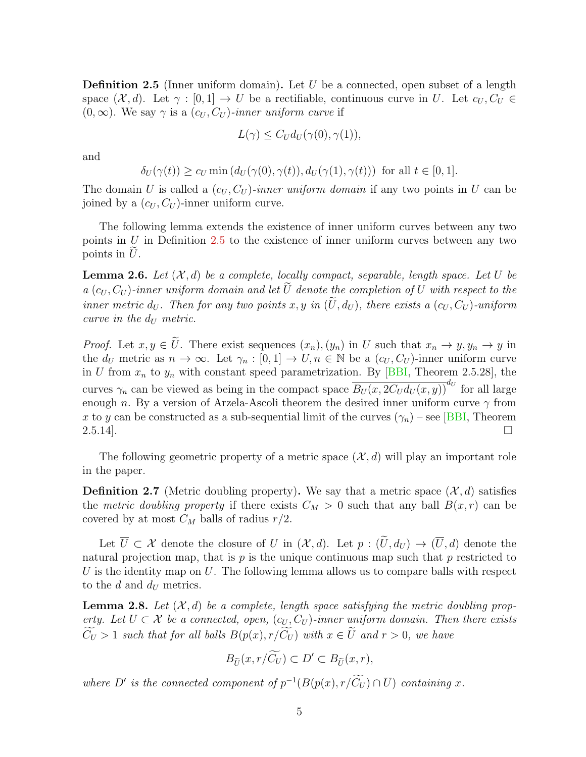<span id="page-4-0"></span>**Definition 2.5** (Inner uniform domain). Let U be a connected, open subset of a length space  $(\mathcal{X}, d)$ . Let  $\gamma : [0, 1] \to U$  be a rectifiable, continuous curve in U. Let  $c_U, C_U \in$  $(0, \infty)$ . We say  $\gamma$  is a  $(c_U, C_U)$ -inner uniform curve if

$$
L(\gamma) \leq C_U d_U(\gamma(0), \gamma(1)),
$$

and

$$
\delta_U(\gamma(t)) \ge c_U \min(d_U(\gamma(0), \gamma(t)), d_U(\gamma(1), \gamma(t))) \text{ for all } t \in [0, 1].
$$

The domain U is called a  $(c_U, C_U)$ -inner uniform domain if any two points in U can be joined by a  $(c_U, C_U)$ -inner uniform curve.

The following lemma extends the existence of inner uniform curves between any two points in  $U$  in Definition [2.5](#page-4-0) to the existence of inner uniform curves between any two points in  $U$ .

**Lemma 2.6.** Let  $(X, d)$  be a complete, locally compact, separable, length space. Let U be a  $(c_U, C_U)$ -inner uniform domain and let  $\tilde{U}$  denote the completion of U with respect to the inner metric  $d_U$ . Then for any two points x, y in  $(\widetilde{U}, d_U)$ , there exists a  $(c_U, C_U)$ -uniform curve in the  $d_U$  metric.

*Proof.* Let  $x, y \in \tilde{U}$ . There exist sequences  $(x_n), (y_n)$  in U such that  $x_n \to y, y_n \to y$  in the  $d_U$  metric as  $n \to \infty$ . Let  $\gamma_n : [0,1] \to U, n \in \mathbb{N}$  be a  $(c_U, C_U)$ -inner uniform curve in U from  $x_n$  to  $y_n$  with constant speed parametrization. By [\[BBI,](#page-29-2) Theorem 2.5.28], the curves  $\gamma_n$  can be viewed as being in the compact space  $\overline{B_U(x, 2C_U d_U(x, y))}^{d_U}$  for all large enough n. By a version of Arzela-Ascoli theorem the desired inner uniform curve  $\gamma$  from x to y can be constructed as a sub-sequential limit of the curves  $(\gamma_n)$  – see [\[BBI,](#page-29-2) Theorem  $2.5.14$ .

The following geometric property of a metric space  $(\mathcal{X}, d)$  will play an important role in the paper.

**Definition 2.7** (Metric doubling property). We say that a metric space  $(\mathcal{X}, d)$  satisfies the metric doubling property if there exists  $C_M > 0$  such that any ball  $B(x, r)$  can be covered by at most  $C_M$  balls of radius  $r/2$ .

Let  $\overline{U} \subset \mathcal{X}$  denote the closure of U in  $(\mathcal{X}, d)$ . Let  $p : (\widetilde{U}, d_U) \to (\overline{U}, d)$  denote the natural projection map, that is  $p$  is the unique continuous map such that  $p$  restricted to U is the identity map on  $U$ . The following lemma allows us to compare balls with respect to the  $d$  and  $d_U$  metrics.

<span id="page-4-1"></span>**Lemma 2.8.** Let  $(X, d)$  be a complete, length space satisfying the metric doubling property. Let  $U \subset \mathcal{X}$  be a connected, open,  $(c_U, C_U)$ -inner uniform domain. Then there exists  $\widetilde{C}_U > 1$  such that for all balls  $B(p(x), r/\widetilde{C}_U)$  with  $x \in \widetilde{U}$  and  $r > 0$ , we have

$$
B_{\widetilde{U}}(x,r/\widetilde{C_U}) \subset D' \subset B_{\widetilde{U}}(x,r),
$$

where D' is the connected component of  $p^{-1}(B(p(x), r/C_U) \cap \overline{U})$  containing x.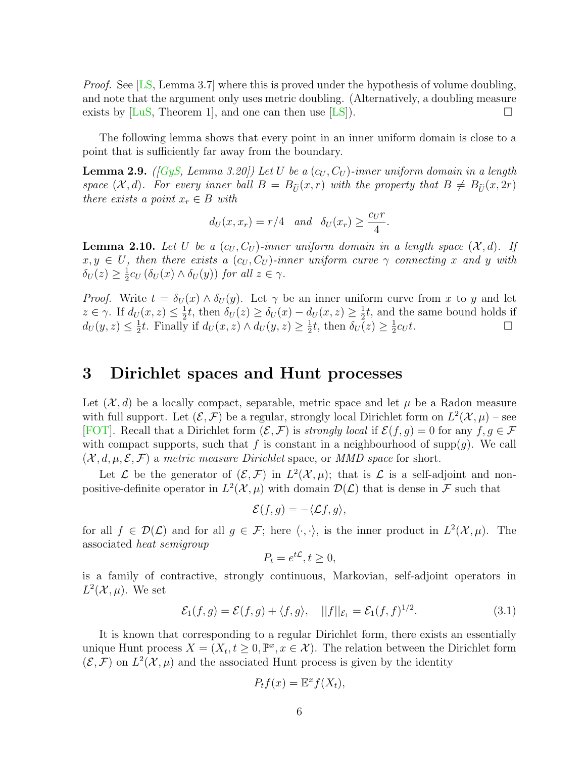*Proof.* See [\[LS,](#page-30-2) Lemma 3.7] where this is proved under the hypothesis of volume doubling, and note that the argument only uses metric doubling. (Alternatively, a doubling measure exists by  $\text{LuS}$ , Theorem 1, and one can then use  $\text{LSS}$ ).

The following lemma shows that every point in an inner uniform domain is close to a point that is sufficiently far away from the boundary.

<span id="page-5-1"></span>**Lemma 2.9.** ([\[GyS,](#page-30-0) Lemma 3.20]) Let U be a  $(c_U, C_U)$ -inner uniform domain in a length space  $(X, d)$ . For every inner ball  $B = B_{\tilde{U}}(x, r)$  with the property that  $B \neq B_{\tilde{U}}(x, 2r)$ there exists a point  $x_r \in B$  with

$$
d_U(x, x_r) = r/4
$$
 and  $\delta_U(x_r) \ge \frac{c_U r}{4}$ .

<span id="page-5-2"></span>**Lemma 2.10.** Let U be a  $(c_U, C_U)$ -inner uniform domain in a length space  $(\mathcal{X}, d)$ . If  $x, y \in U$ , then there exists a  $(c_U, C_U)$ -inner uniform curve  $\gamma$  connecting x and y with  $\delta_U(z) \geq \frac{1}{2}$  $\frac{1}{2}c_U\left(\delta_U(x)\wedge \delta_U(y)\right)$  for all  $z\in\gamma$ .

*Proof.* Write  $t = \delta_U(x) \wedge \delta_U(y)$ . Let  $\gamma$  be an inner uniform curve from x to y and let  $z \in \gamma$ . If  $d_U(x, z) \leq \frac{1}{2}$  $\frac{1}{2}t$ , then  $\delta_U(z) \geq \delta_U(x) - d_U(x, z) \geq \frac{1}{2}$  $\frac{1}{2}t$ , and the same bound holds if  $d_U(y, z) \leq \frac{1}{2}$  $\frac{1}{2}t$ . Finally if  $d_U(x, z) \wedge d_U(y, z) \geq \frac{1}{2}$  $\frac{1}{2}t$ , then  $\delta_U(z) \geq \frac{1}{2}$  $\frac{1}{2}c_U t$ .

### <span id="page-5-0"></span>3 Dirichlet spaces and Hunt processes

Let  $(\mathcal{X}, d)$  be a locally compact, separable, metric space and let  $\mu$  be a Radon measure with full support. Let  $(\mathcal{E}, \mathcal{F})$  be a regular, strongly local Dirichlet form on  $L^2(\mathcal{X}, \mu)$  – see [\[FOT\]](#page-29-3). Recall that a Dirichlet form  $(\mathcal{E}, \mathcal{F})$  is *strongly local* if  $\mathcal{E}(f, g) = 0$  for any  $f, g \in \mathcal{F}$ with compact supports, such that f is constant in a neighbourhood of supp $(q)$ . We call  $(\mathcal{X}, d, \mu, \mathcal{E}, \mathcal{F})$  a metric measure Dirichlet space, or MMD space for short.

Let L be the generator of  $(\mathcal{E}, \mathcal{F})$  in  $L^2(\mathcal{X}, \mu)$ ; that is L is a self-adjoint and nonpositive-definite operator in  $L^2(\mathcal{X}, \mu)$  with domain  $\mathcal{D}(\mathcal{L})$  that is dense in F such that

$$
\mathcal{E}(f,g) = -\langle \mathcal{L}f,g \rangle,
$$

for all  $f \in \mathcal{D}(\mathcal{L})$  and for all  $g \in \mathcal{F}$ ; here  $\langle \cdot, \cdot \rangle$ , is the inner product in  $L^2(\mathcal{X}, \mu)$ . The associated heat semigroup

$$
P_t = e^{t\mathcal{L}}, t \ge 0,
$$

is a family of contractive, strongly continuous, Markovian, self-adjoint operators in  $L^2(\mathcal{X}, \mu)$ . We set

$$
\mathcal{E}_1(f,g) = \mathcal{E}(f,g) + \langle f,g \rangle, \quad ||f||_{\mathcal{E}_1} = \mathcal{E}_1(f,f)^{1/2}.
$$
\n(3.1)

It is known that corresponding to a regular Dirichlet form, there exists an essentially unique Hunt process  $X = (X_t, t \geq 0, \mathbb{P}^x, x \in \mathcal{X})$ . The relation between the Dirichlet form  $(\mathcal{E}, \mathcal{F})$  on  $L^2(\mathcal{X}, \mu)$  and the associated Hunt process is given by the identity

$$
P_t f(x) = \mathbb{E}^x f(X_t),
$$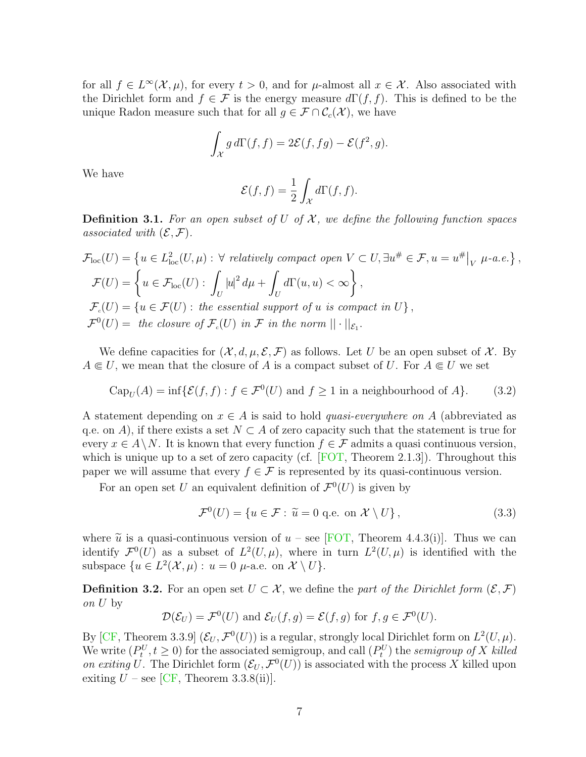for all  $f \in L^{\infty}(\mathcal{X}, \mu)$ , for every  $t > 0$ , and for  $\mu$ -almost all  $x \in \mathcal{X}$ . Also associated with the Dirichlet form and  $f \in \mathcal{F}$  is the energy measure  $d\Gamma(f, f)$ . This is defined to be the unique Radon measure such that for all  $g \in \mathcal{F} \cap \mathcal{C}_c(\mathcal{X})$ , we have

$$
\int_{\mathcal{X}} g \, d\Gamma(f, f) = 2\mathcal{E}(f, fg) - \mathcal{E}(f^2, g).
$$

We have

$$
\mathcal{E}(f,f) = \frac{1}{2} \int_{\mathcal{X}} d\Gamma(f,f).
$$

**Definition 3.1.** For an open subset of U of X, we define the following function spaces associated with  $(\mathcal{E}, \mathcal{F})$ .

$$
\mathcal{F}_{loc}(U) = \left\{ u \in L_{loc}^2(U, \mu) : \forall \text{ relatively compact open } V \subset U, \exists u^{\#} \in \mathcal{F}, u = u^{\#} \middle|_{V} \mu\text{-}a.e. \right\},\
$$
  

$$
\mathcal{F}(U) = \left\{ u \in \mathcal{F}_{loc}(U) : \int_{U} |u|^2 d\mu + \int_{U} d\Gamma(u, u) < \infty \right\},\
$$
  

$$
\mathcal{F}_c(U) = \left\{ u \in \mathcal{F}(U) : \text{the essential support of } u \text{ is compact in } U \right\},\
$$
  

$$
\mathcal{F}^0(U) = \text{ the closure of } \mathcal{F}_c(U) \text{ in } \mathcal{F} \text{ in the norm } || \cdot ||_{\mathcal{E}_1}.
$$

We define capacities for  $(\mathcal{X}, d, \mu, \mathcal{E}, \mathcal{F})$  as follows. Let U be an open subset of X. By  $A \subseteq U$ , we mean that the closure of A is a compact subset of U. For  $A \subseteq U$  we set

$$
\text{Cap}_U(A) = \inf \{ \mathcal{E}(f, f) : f \in \mathcal{F}^0(U) \text{ and } f \ge 1 \text{ in a neighbourhood of } A \}. \tag{3.2}
$$

A statement depending on  $x \in A$  is said to hold *quasi-everywhere on* A (abbreviated as q.e. on A), if there exists a set  $N \subset A$  of zero capacity such that the statement is true for every  $x \in A \backslash N$ . It is known that every function  $f \in \mathcal{F}$  admits a quasi continuous version, which is unique up to a set of zero capacity (cf.  $[FOT, Theorem 2.1.3]$ ). Throughout this paper we will assume that every  $f \in \mathcal{F}$  is represented by its quasi-continuous version.

For an open set U an equivalent definition of  $\mathcal{F}^0(U)$  is given by

$$
\mathcal{F}^0(U) = \{ u \in \mathcal{F} : \tilde{u} = 0 \text{ q.e. on } \mathcal{X} \setminus U \},\tag{3.3}
$$

where  $\tilde{u}$  is a quasi-continuous version of  $u$  – see [\[FOT,](#page-29-3) Theorem 4.4.3(i)]. Thus we can identify  $\mathcal{F}^0(U)$  as a subset of  $L^2(U,\mu)$ , where in turn  $L^2(U,\mu)$  is identified with the subspace  $\{u \in L^2(\mathcal{X}, \mu) : u = 0 \mu$ -a.e. on  $\mathcal{X} \setminus U\}.$ 

<span id="page-6-0"></span>**Definition 3.2.** For an open set  $U \subset \mathcal{X}$ , we define the part of the Dirichlet form  $(\mathcal{E}, \mathcal{F})$ on U by

$$
\mathcal{D}(\mathcal{E}_U) = \mathcal{F}^0(U) \text{ and } \mathcal{E}_U(f,g) = \mathcal{E}(f,g) \text{ for } f,g \in \mathcal{F}^0(U).
$$

By [\[CF,](#page-29-4) Theorem 3.3.9]  $(\mathcal{E}_U, \mathcal{F}^0(U))$  is a regular, strongly local Dirichlet form on  $L^2(U, \mu)$ . We write  $(P_t^U, t \ge 0)$  for the associated semigroup, and call  $(P_t^U)$  the *semigroup of X killed* on exiting U. The Dirichlet form  $(\mathcal{E}_U, \mathcal{F}^0(U))$  is associated with the process X killed upon exiting  $U$  – see [\[CF,](#page-29-4) Theorem 3.3.8(ii)].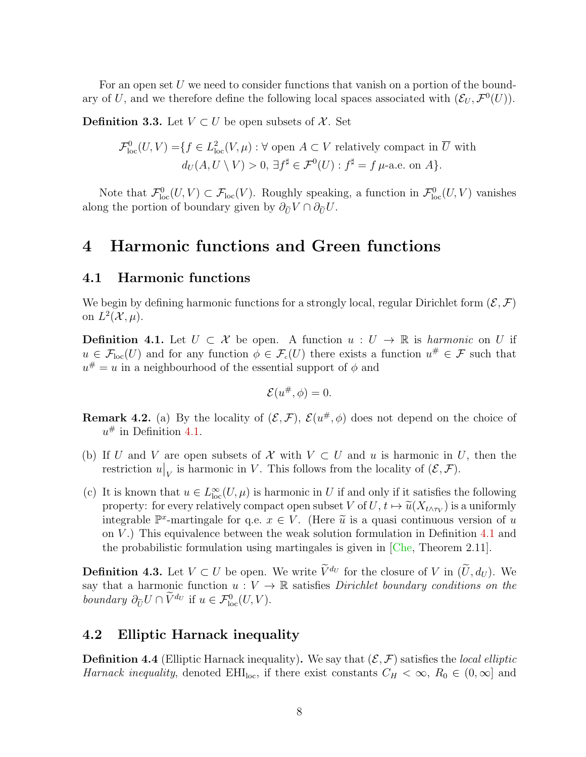For an open set  $U$  we need to consider functions that vanish on a portion of the boundary of U, and we therefore define the following local spaces associated with  $(\mathcal{E}_U, \mathcal{F}^0(U))$ .

**Definition 3.3.** Let  $V \subset U$  be open subsets of X. Set

$$
\mathcal{F}_{\text{loc}}^0(U, V) = \{ f \in L_{\text{loc}}^2(V, \mu) : \forall \text{ open } A \subset V \text{ relatively compact in } \overline{U} \text{ with}
$$

$$
d_U(A, U \setminus V) > 0, \exists f^{\sharp} \in \mathcal{F}^0(U) : f^{\sharp} = f \mu\text{-a.e. on } A \}.
$$

Note that  $\mathcal{F}^0_{loc}(U, V) \subset \mathcal{F}_{loc}(V)$ . Roughly speaking, a function in  $\mathcal{F}^0_{loc}(U, V)$  vanishes along the portion of boundary given by  $\partial_{\tilde{H}} V \cap \partial_{\tilde{H}} U$ .

### <span id="page-7-0"></span>4 Harmonic functions and Green functions

#### 4.1 Harmonic functions

We begin by defining harmonic functions for a strongly local, regular Dirichlet form  $(\mathcal{E}, \mathcal{F})$ on  $L^2(\mathcal{X}, \mu)$ .

<span id="page-7-1"></span>**Definition 4.1.** Let  $U \subset \mathcal{X}$  be open. A function  $u : U \to \mathbb{R}$  is harmonic on U if  $u \in \mathcal{F}_{loc}(U)$  and for any function  $\phi \in \mathcal{F}_{c}(U)$  there exists a function  $u^{\#} \in \mathcal{F}$  such that  $u^{\#} = u$  in a neighbourhood of the essential support of  $\phi$  and

$$
\mathcal{E}(u^{\#}, \phi) = 0.
$$

**Remark 4.2.** (a) By the locality of  $(\mathcal{E}, \mathcal{F})$ ,  $\mathcal{E}(u^*, \phi)$  does not depend on the choice of  $u^{\#}$  in Definition [4.1.](#page-7-1)

- (b) If U and V are open subsets of X with  $V \subset U$  and u is harmonic in U, then the restriction  $u|_V$  is harmonic in V. This follows from the locality of  $(\mathcal{E}, \mathcal{F})$ .
- (c) It is known that  $u \in L^{\infty}_{loc}(U,\mu)$  is harmonic in U if and only if it satisfies the following property: for every relatively compact open subset V of  $U, t \mapsto \tilde{u}(X_{t \wedge \tau_V})$  is a uniformly<br>integrable  $\mathbb{R}^x$  mertingale for  $g \circ \sigma \in V$  (Here  $\tilde{u}$  is a quest continuous version of  $u$ integrable  $\mathbb{P}^x$ -martingale for q.e.  $x \in V$ . (Here  $\tilde{u}$  is a quasi continuous version of u<br>on  $V$ ). This equivalence between the weak solution formulation in Definition 4.1 and on  $V$ .) This equivalence between the weak solution formulation in Definition [4.1](#page-7-1) and the probabilistic formulation using martingales is given in [\[Che,](#page-29-5) Theorem 2.11].

**Definition 4.3.** Let  $V \subset U$  be open. We write  $\widetilde{V}^{d_U}$  for the closure of V in  $(\widetilde{U}, d_U)$ . We say that a harmonic function  $u: V \to \mathbb{R}$  satisfies Dirichlet boundary conditions on the boundary  $\partial_{\tilde{U}} U \cap V^{d_U}$  if  $u \in \mathcal{F}_{\text{loc}}^0(U, V)$ .

### 4.2 Elliptic Harnack inequality

**Definition 4.4** (Elliptic Harnack inequality). We say that  $(\mathcal{E}, \mathcal{F})$  satisfies the *local elliptic* Harnack inequality, denoted EHI<sub>loc</sub>, if there exist constants  $C_H < \infty$ ,  $R_0 \in (0, \infty]$  and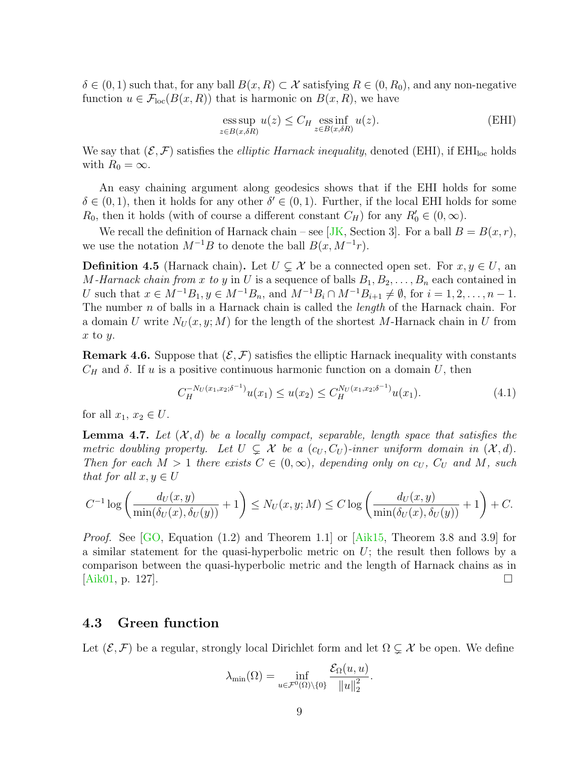$\delta \in (0,1)$  such that, for any ball  $B(x,R) \subset \mathcal{X}$  satisfying  $R \in (0,R_0)$ , and any non-negative function  $u \in \mathcal{F}_{loc}(B(x,R))$  that is harmonic on  $B(x,R)$ , we have

$$
\underset{z \in B(x,\delta R)}{\text{ess sup}} u(z) \le C_H \underset{z \in B(x,\delta R)}{\text{ess inf}} u(z). \tag{EHI}
$$

We say that  $(\mathcal{E}, \mathcal{F})$  satisfies the *elliptic Harnack inequality*, denoted (EHI), if EHI<sub>loc</sub> holds with  $R_0 = \infty$ .

An easy chaining argument along geodesics shows that if the EHI holds for some  $\delta \in (0,1)$ , then it holds for any other  $\delta' \in (0,1)$ . Further, if the local EHI holds for some  $R_0$ , then it holds (with of course a different constant  $C_H$ ) for any  $R'_0 \in (0, \infty)$ .

We recall the definition of Harnack chain – see [\[JK,](#page-30-6) Section 3]. For a ball  $B = B(x, r)$ , we use the notation  $M^{-1}B$  to denote the ball  $B(x, M^{-1}r)$ .

**Definition 4.5** (Harnack chain). Let  $U \subsetneq \mathcal{X}$  be a connected open set. For  $x, y \in U$ , an M-Harnack chain from x to y in U is a sequence of balls  $B_1, B_2, \ldots, B_n$  each contained in U such that  $x \in M^{-1}B_1, y \in M^{-1}B_n$ , and  $M^{-1}B_i \cap M^{-1}B_{i+1} \neq \emptyset$ , for  $i = 1, 2, ..., n - 1$ . The number  $n$  of balls in a Harnack chain is called the *length* of the Harnack chain. For a domain U write  $N_U(x, y; M)$  for the length of the shortest M-Harnack chain in U from  $x$  to  $y$ .

**Remark 4.6.** Suppose that  $(\mathcal{E}, \mathcal{F})$  satisfies the elliptic Harnack inequality with constants  $C_H$  and  $\delta$ . If u is a positive continuous harmonic function on a domain U, then

<span id="page-8-1"></span>
$$
C_H^{-N_U(x_1, x_2; \delta^{-1})} u(x_1) \le u(x_2) \le C_H^{N_U(x_1, x_2; \delta^{-1})} u(x_1). \tag{4.1}
$$

for all  $x_1, x_2 \in U$ .

<span id="page-8-0"></span>**Lemma 4.7.** Let  $(\mathcal{X}, d)$  be a locally compact, separable, length space that satisfies the metric doubling property. Let  $U \subsetneq \mathcal{X}$  be a  $(c_U, C_U)$ -inner uniform domain in  $(\mathcal{X}, d)$ . Then for each  $M > 1$  there exists  $C \in (0, \infty)$ , depending only on  $c_U$ ,  $C_U$  and M, such that for all  $x, y \in U$ 

$$
C^{-1}\log\left(\frac{d_U(x,y)}{\min(\delta_U(x),\delta_U(y))}+1\right)\leq N_U(x,y;M)\leq C\log\left(\frac{d_U(x,y)}{\min(\delta_U(x),\delta_U(y))}+1\right)+C.
$$

*Proof.* See  $[GO, Equation (1.2)$  and Theorem 1.1 or  $[Aik15, Theorem 3.8 and 3.9]$  for a similar statement for the quasi-hyperbolic metric on  $U$ ; the result then follows by a comparison between the quasi-hyperbolic metric and the length of Harnack chains as in  $[Aik01, p. 127]$  $[Aik01, p. 127]$ .

#### 4.3 Green function

Let  $(\mathcal{E}, \mathcal{F})$  be a regular, strongly local Dirichlet form and let  $\Omega \subsetneq \mathcal{X}$  be open. We define

$$
\lambda_{\min}(\Omega) = \inf_{u \in \mathcal{F}^0(\Omega) \setminus \{0\}} \frac{\mathcal{E}_{\Omega}(u, u)}{\|u\|_2^2}.
$$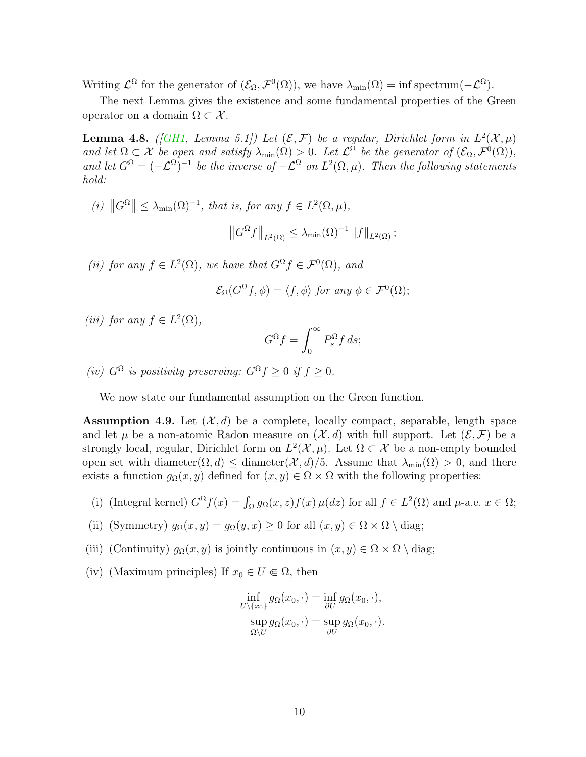Writing  $\mathcal{L}^{\Omega}$  for the generator of  $(\mathcal{E}_{\Omega}, \mathcal{F}^{0}(\Omega))$ , we have  $\lambda_{\min}(\Omega) = \inf \text{spectrum}(-\mathcal{L}^{\Omega})$ .

The next Lemma gives the existence and some fundamental properties of the Green operator on a domain  $\Omega \subset \mathcal{X}$ .

<span id="page-9-1"></span>**Lemma 4.8.** ([\[GH1,](#page-29-7) Lemma 5.1]) Let  $(\mathcal{E}, \mathcal{F})$  be a regular, Dirichlet form in  $L^2(\mathcal{X}, \mu)$ and let  $\Omega \subset \mathcal{X}$  be open and satisfy  $\lambda_{\min}(\Omega) > 0$ . Let  $\mathcal{L}^{\Omega}$  be the generator of  $(\mathcal{E}_{\Omega}, \mathcal{F}^0(\Omega))$ , and let  $G^{\Omega} = (-\mathcal{L}^{\Omega})^{-1}$  be the inverse of  $-\mathcal{L}^{\Omega}$  on  $L^2(\Omega,\mu)$ . Then the following statements hold:

(i)  $||G^{\Omega}|| \leq \lambda_{\min}(\Omega)^{-1}$ , that is, for any  $f \in L^2(\Omega, \mu)$ ,  $\left\|G^{\Omega}f\right\|_{L^2(\Omega)} \leq \lambda_{\min}(\Omega)^{-1} \left\|f\right\|_{L^2(\Omega)};$ 

(ii) for any  $f \in L^2(\Omega)$ , we have that  $G^{\Omega} f \in \mathcal{F}^0(\Omega)$ , and

$$
\mathcal{E}_{\Omega}(G^{\Omega}f,\phi) = \langle f,\phi \rangle \text{ for any } \phi \in \mathcal{F}^0(\Omega);
$$

(iii) for any  $f \in L^2(\Omega)$ ,

$$
G^{\Omega}f = \int_0^{\infty} P_s^{\Omega} f \, ds;
$$

(iv)  $G^{\Omega}$  is positivity preserving:  $G^{\Omega} f \geq 0$  if  $f \geq 0$ .

We now state our fundamental assumption on the Green function.

<span id="page-9-0"></span>**Assumption 4.9.** Let  $(\mathcal{X}, d)$  be a complete, locally compact, separable, length space and let  $\mu$  be a non-atomic Radon measure on  $(\mathcal{X}, d)$  with full support. Let  $(\mathcal{E}, \mathcal{F})$  be a strongly local, regular, Dirichlet form on  $L^2(\mathcal{X}, \mu)$ . Let  $\Omega \subset \mathcal{X}$  be a non-empty bounded open set with diameter $(\Omega, d) \leq$  diameter $(\mathcal{X}, d)/5$ . Assume that  $\lambda_{\min}(\Omega) > 0$ , and there exists a function  $g_{\Omega}(x, y)$  defined for  $(x, y) \in \Omega \times \Omega$  with the following properties:

- (i) (Integral kernel)  $G^{\Omega} f(x) = \int_{\Omega} g_{\Omega}(x, z) f(x) \mu(dz)$  for all  $f \in L^2(\Omega)$  and  $\mu$ -a.e.  $x \in \Omega$ ;
- (ii) (Symmetry)  $g_{\Omega}(x, y) = g_{\Omega}(y, x) \geq 0$  for all  $(x, y) \in \Omega \times \Omega \setminus \text{diag};$
- (iii) (Continuity)  $g_{\Omega}(x, y)$  is jointly continuous in  $(x, y) \in \Omega \times \Omega \setminus \text{diag};$
- (iv) (Maximum principles) If  $x_0 \in U \subseteq \Omega$ , then

$$
\inf_{U \setminus \{x_0\}} g_{\Omega}(x_0, \cdot) = \inf_{\partial U} g_{\Omega}(x_0, \cdot),
$$
  
\n
$$
\sup_{\Omega \setminus U} g_{\Omega}(x_0, \cdot) = \sup_{\partial U} g_{\Omega}(x_0, \cdot).
$$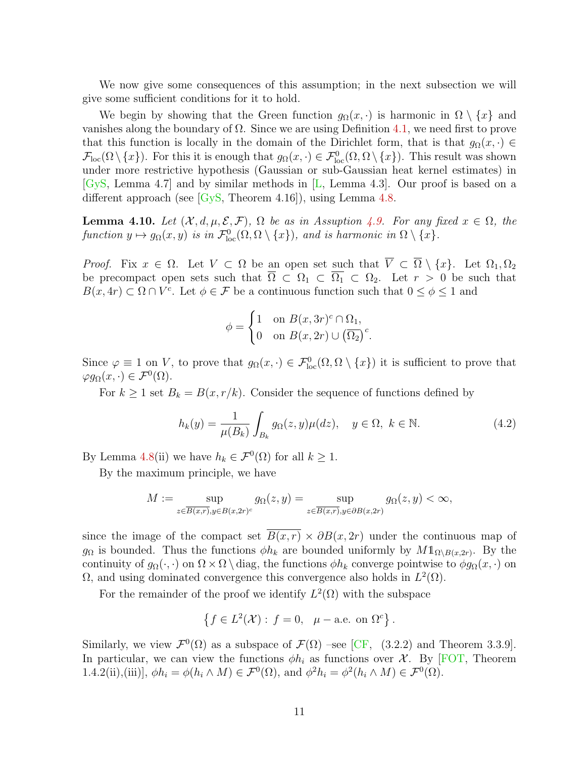We now give some consequences of this assumption; in the next subsection we will give some sufficient conditions for it to hold.

We begin by showing that the Green function  $g_{\Omega}(x, \cdot)$  is harmonic in  $\Omega \setminus \{x\}$  and vanishes along the boundary of  $\Omega$ . Since we are using Definition [4.1,](#page-7-1) we need first to prove that this function is locally in the domain of the Dirichlet form, that is that  $g_{\Omega}(x, \cdot) \in$  $\mathcal{F}_{loc}(\Omega \setminus \{x\})$ . For this it is enough that  $g_{\Omega}(x, \cdot) \in \mathcal{F}_{loc}^0(\Omega, \Omega \setminus \{x\})$ . This result was shown under more restrictive hypothesis (Gaussian or sub-Gaussian heat kernel estimates) in [\[GyS,](#page-30-0) Lemma 4.7] and by similar methods in [\[L,](#page-30-1) Lemma 4.3]. Our proof is based on a different approach (see [\[GyS,](#page-30-0) Theorem 4.16]), using Lemma [4.8.](#page-9-1)

<span id="page-10-0"></span>**Lemma 4.10.** Let  $(X, d, \mu, \mathcal{E}, \mathcal{F})$ ,  $\Omega$  be as in Assuption [4.9.](#page-9-0) For any fixed  $x \in \Omega$ , the function  $y \mapsto g_{\Omega}(x, y)$  is in  $\mathcal{F}_{\text{loc}}^0(\Omega, \Omega \setminus \{x\})$ , and is harmonic in  $\Omega \setminus \{x\}$ .

*Proof.* Fix  $x \in \Omega$ . Let  $V \subset \Omega$  be an open set such that  $\overline{V} \subset \overline{\Omega} \setminus \{x\}$ . Let  $\Omega_1, \Omega_2$ be precompact open sets such that  $\overline{\Omega} \subset \Omega_1 \subset \overline{\Omega_1} \subset \Omega_2$ . Let  $r > 0$  be such that  $B(x, 4r) \subset \Omega \cap V^c$ . Let  $\phi \in \mathcal{F}$  be a continuous function such that  $0 \leq \phi \leq 1$  and

$$
\phi = \begin{cases} 1 & \text{on } B(x, 3r)^c \cap \Omega_1, \\ 0 & \text{on } B(x, 2r) \cup (\overline{\Omega_2})^c. \end{cases}
$$

Since  $\varphi \equiv 1$  on V, to prove that  $g_{\Omega}(x, \cdot) \in \mathcal{F}_{\text{loc}}^0(\Omega, \Omega \setminus \{x\})$  it is sufficient to prove that  $\varphi g_{\Omega}(x, \cdot) \in \mathcal{F}^0(\Omega).$ 

For  $k \geq 1$  set  $B_k = B(x, r/k)$ . Consider the sequence of functions defined by

<span id="page-10-1"></span>
$$
h_k(y) = \frac{1}{\mu(B_k)} \int_{B_k} g_\Omega(z, y) \mu(dz), \quad y \in \Omega, \ k \in \mathbb{N}.
$$
 (4.2)

By Lemma [4.8\(](#page-9-1)ii) we have  $h_k \in \mathcal{F}^0(\Omega)$  for all  $k \geq 1$ .

By the maximum principle, we have

$$
M := \sup_{z \in \overline{B(x,r)}, y \in B(x,2r)^c} g_{\Omega}(z,y) = \sup_{z \in \overline{B(x,r)}, y \in \partial B(x,2r)} g_{\Omega}(z,y) < \infty,
$$

since the image of the compact set  $\overline{B(x,r)} \times \partial B(x,2r)$  under the continuous map of  $g_{\Omega}$  is bounded. Thus the functions  $\phi h_k$  are bounded uniformly by  $M1_{\Omega\setminus B(x,2r)}$ . By the continuity of  $g_{\Omega}(\cdot, \cdot)$  on  $\Omega \times \Omega \setminus$  diag, the functions  $\phi h_k$  converge pointwise to  $\phi g_{\Omega}(x, \cdot)$  on  $Ω$ , and using dominated convergence this convergence also holds in  $L^2(Ω)$ .

For the remainder of the proof we identify  $L^2(\Omega)$  with the subspace

$$
\{f \in L^2(\mathcal{X}) : f = 0, \ \mu-\text{a.e. on } \Omega^c\}.
$$

Similarly, we view  $\mathcal{F}^0(\Omega)$  as a subspace of  $\mathcal{F}(\Omega)$  –see [\[CF,](#page-29-4) (3.2.2) and Theorem 3.3.9]. In particular, we can view the functions  $\phi h_i$  as functions over X. By [\[FOT,](#page-29-3) Theorem 1.4.2(ii),(iii)],  $\phi h_i = \phi(h_i \wedge M) \in \mathcal{F}^0(\Omega)$ , and  $\phi^2 h_i = \phi^2(h_i \wedge M) \in \mathcal{F}^0(\Omega)$ .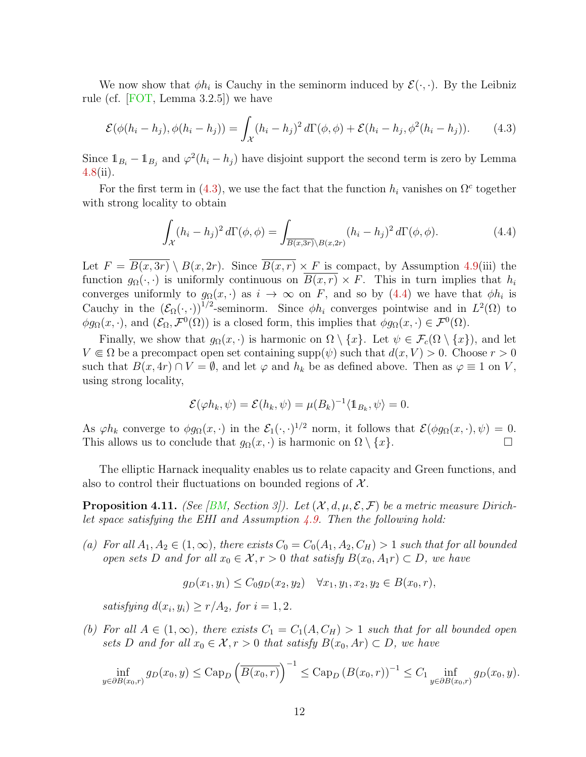We now show that  $\phi h_i$  is Cauchy in the seminorm induced by  $\mathcal{E}(\cdot, \cdot)$ . By the Leibniz rule (cf.  $[FOT, Lemma 3.2.5]$ ) we have

<span id="page-11-1"></span>
$$
\mathcal{E}(\phi(h_i-h_j), \phi(h_i-h_j)) = \int_{\mathcal{X}} (h_i-h_j)^2 d\Gamma(\phi,\phi) + \mathcal{E}(h_i-h_j,\phi^2(h_i-h_j)). \tag{4.3}
$$

Since  $1_{B_i} - 1_{B_j}$  and  $\varphi^2(h_i - h_j)$  have disjoint support the second term is zero by Lemma [4.8\(](#page-9-1)ii).

For the first term in [\(4.3\)](#page-11-1), we use the fact that the function  $h_i$  vanishes on  $\Omega^c$  together with strong locality to obtain

<span id="page-11-2"></span>
$$
\int_{\mathcal{X}} (h_i - h_j)^2 d\Gamma(\phi, \phi) = \int_{\overline{B(x, 3r)} \backslash B(x, 2r)} (h_i - h_j)^2 d\Gamma(\phi, \phi).
$$
\n(4.4)

Let  $F = \overline{B(x, 3r)} \setminus B(x, 2r)$ . Since  $\overline{B(x, r)} \times F$  is compact, by Assumption [4.9\(](#page-9-0)iii) the function  $g_{\Omega}(\cdot, \cdot)$  is uniformly continuous on  $\overline{B(x, r)} \times F$ . This in turn implies that  $h_i$ converges uniformly to  $g_{\Omega}(x, \cdot)$  as  $i \to \infty$  on F, and so by [\(4.4\)](#page-11-2) we have that  $\phi h_i$  is Cauchy in the  $(\mathcal{E}_{\Omega}(\cdot,\cdot))^{1/2}$ -seminorm. Since  $\phi h_i$  converges pointwise and in  $L^2(\Omega)$  to  $\phi g_{\Omega}(x, \cdot)$ , and  $(\mathcal{E}_{\Omega}, \mathcal{F}^0(\Omega))$  is a closed form, this implies that  $\phi g_{\Omega}(x, \cdot) \in \mathcal{F}^0(\Omega)$ .

Finally, we show that  $g_{\Omega}(x, \cdot)$  is harmonic on  $\Omega \setminus \{x\}$ . Let  $\psi \in \mathcal{F}_c(\Omega \setminus \{x\})$ , and let  $V \in \Omega$  be a precompact open set containing supp $(\psi)$  such that  $d(x, V) > 0$ . Choose  $r > 0$ such that  $B(x, 4r) \cap V = \emptyset$ , and let  $\varphi$  and  $h_k$  be as defined above. Then as  $\varphi \equiv 1$  on V, using strong locality,

$$
\mathcal{E}(\varphi h_k, \psi) = \mathcal{E}(h_k, \psi) = \mu(B_k)^{-1} \langle \mathbb{1}_{B_k}, \psi \rangle = 0.
$$

As  $\varphi h_k$  converge to  $\phi g_\Omega(x, \cdot)$  in the  $\mathcal{E}_1(\cdot, \cdot)^{1/2}$  norm, it follows that  $\mathcal{E}(\phi g_\Omega(x, \cdot), \psi) = 0$ . This allows us to conclude that  $g_{\Omega}(x, \cdot)$  is harmonic on  $\Omega \setminus \{x\}.$ 

The elliptic Harnack inequality enables us to relate capacity and Green functions, and also to control their fluctuations on bounded regions of  $\mathcal{X}$ .

<span id="page-11-0"></span>**Proposition 4.11.** (See [\[BM,](#page-28-4) Section 3]). Let  $(\mathcal{X}, d, \mu, \mathcal{E}, \mathcal{F})$  be a metric measure Dirichlet space satisfying the EHI and Assumption  $4.9$ . Then the following hold:

(a) For all  $A_1, A_2 \in (1,\infty)$ , there exists  $C_0 = C_0(A_1, A_2, C_H) > 1$  such that for all bounded open sets D and for all  $x_0 \in \mathcal{X}, r > 0$  that satisfy  $B(x_0, A_1r) \subset D$ , we have

$$
g_D(x_1, y_1) \le C_0 g_D(x_2, y_2) \quad \forall x_1, y_1, x_2, y_2 \in B(x_0, r),
$$

satisfying  $d(x_i, y_i) \ge r/A_2$ , for  $i = 1, 2$ .

(b) For all  $A \in (1,\infty)$ , there exists  $C_1 = C_1(A,C_H) > 1$  such that for all bounded open sets D and for all  $x_0 \in \mathcal{X}, r > 0$  that satisfy  $B(x_0, Ar) \subset D$ , we have

$$
\inf_{y \in \partial B(x_0, r)} g_D(x_0, y) \leq \text{Cap}_D \left( \overline{B(x_0, r)} \right)^{-1} \leq \text{Cap}_D \left( B(x_0, r) \right)^{-1} \leq C_1 \inf_{y \in \partial B(x_0, r)} g_D(x_0, y).
$$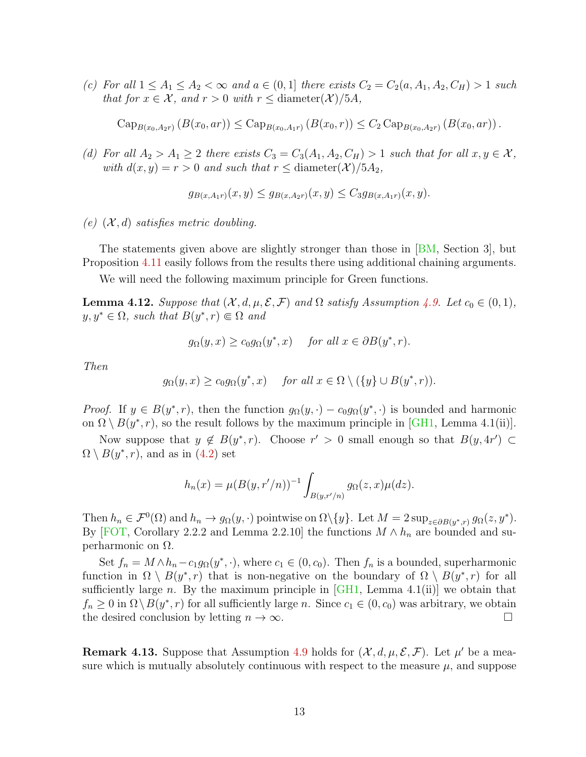(c) For all  $1 \leq A_1 \leq A_2 < \infty$  and  $a \in (0,1]$  there exists  $C_2 = C_2(a, A_1, A_2, C_H) > 1$  such that for  $x \in \mathcal{X}$ , and  $r > 0$  with  $r \leq$  diameter( $\mathcal{X}$ )/5A,

$$
\mathrm{Cap}_{B(x_0,A_2r)}\left(B(x_0,ar)\right) \leq \mathrm{Cap}_{B(x_0,A_1r)}\left(B(x_0,r)\right) \leq C_2 \mathrm{Cap}_{B(x_0,A_2r)}\left(B(x_0,ar)\right).
$$

(d) For all  $A_2 > A_1 \geq 2$  there exists  $C_3 = C_3(A_1, A_2, C_H) > 1$  such that for all  $x, y \in \mathcal{X}$ , with  $d(x, y) = r > 0$  and such that  $r \leq$  diameter(X)/5A<sub>2</sub>,

$$
g_{B(x,A_1r)}(x,y) \le g_{B(x,A_2r)}(x,y) \le C_3 g_{B(x,A_1r)}(x,y).
$$

(e)  $(X, d)$  satisfies metric doubling.

The statements given above are slightly stronger than those in [\[BM,](#page-28-4) Section 3], but Proposition [4.11](#page-11-0) easily follows from the results there using additional chaining arguments.

We will need the following maximum principle for Green functions.

<span id="page-12-1"></span>**Lemma 4.12.** Suppose that  $(X, d, \mu, \mathcal{E}, \mathcal{F})$  and  $\Omega$  satisfy Assumption [4.9.](#page-9-0) Let  $c_0 \in (0, 1)$ ,  $y, y^* \in \Omega$ , such that  $B(y^*, r) \in \Omega$  and

$$
g_{\Omega}(y,x) \geq c_0 g_{\Omega}(y^*,x)
$$
 for all  $x \in \partial B(y^*,r)$ .

Then

$$
g_{\Omega}(y,x) \geq c_0 g_{\Omega}(y^*,x)
$$
 for all  $x \in \Omega \setminus (\{y\} \cup B(y^*,r)).$ 

*Proof.* If  $y \in B(y^*, r)$ , then the function  $g_{\Omega}(y, \cdot) - c_0 g_{\Omega}(y^*, \cdot)$  is bounded and harmonic on  $\Omega \setminus B(y^*, r)$ , so the result follows by the maximum principle in [\[GH1,](#page-29-7) Lemma 4.1(ii)].

Now suppose that  $y \notin B(y^*, r)$ . Choose  $r' > 0$  small enough so that  $B(y, 4r') \subset$  $\Omega \setminus B(y^*, r)$ , and as in  $(4.2)$  set

$$
h_n(x) = \mu(B(y, r'/n))^{-1} \int_{B(y, r'/n)} g_{\Omega}(z, x) \mu(dz).
$$

Then  $h_n \in \mathcal{F}^0(\Omega)$  and  $h_n \to g_\Omega(y, \cdot)$  pointwise on  $\Omega \setminus \{y\}$ . Let  $M = 2 \sup_{z \in \partial B(y^*, r)} g_\Omega(z, y^*)$ . By [\[FOT,](#page-29-3) Corollary 2.2.2 and Lemma 2.2.10] the functions  $M \wedge h_n$  are bounded and superharmonic on Ω.

Set  $f_n = M \wedge h_n - c_1 g_\Omega(y^*, \cdot)$ , where  $c_1 \in (0, c_0)$ . Then  $f_n$  is a bounded, superharmonic function in  $\Omega \setminus B(y^*, r)$  that is non-negative on the boundary of  $\Omega \setminus B(y^*, r)$  for all sufficiently large n. By the maximum principle in  $[GH1, \text{ Lemma } 4.1(ii)]$  we obtain that  $f_n \geq 0$  in  $\Omega \setminus B(y^*, r)$  for all sufficiently large n. Since  $c_1 \in (0, c_0)$  was arbitrary, we obtain the desired conclusion by letting  $n \to \infty$ .

<span id="page-12-0"></span>**Remark 4.13.** Suppose that Assumption [4.9](#page-9-0) holds for  $(\mathcal{X}, d, \mu, \mathcal{E}, \mathcal{F})$ . Let  $\mu'$  be a measure which is mutually absolutely continuous with respect to the measure  $\mu$ , and suppose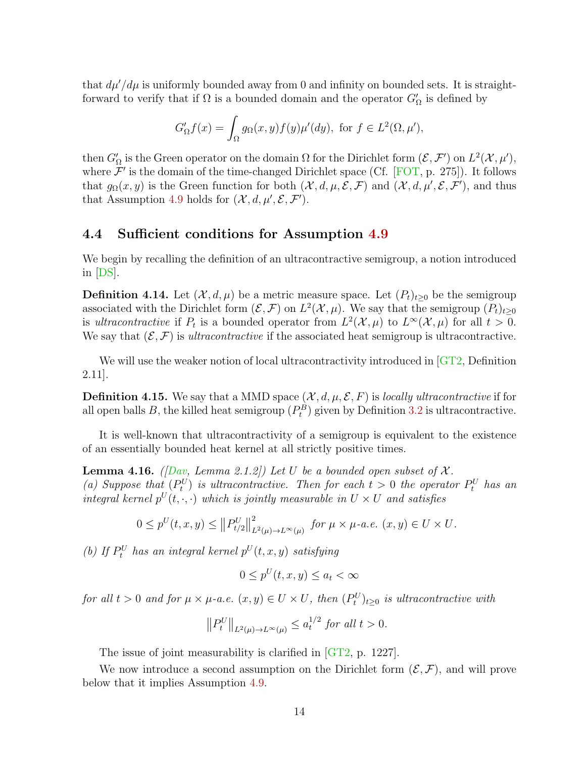that  $d\mu/d\mu$  is uniformly bounded away from 0 and infinity on bounded sets. It is straightforward to verify that if  $\Omega$  is a bounded domain and the operator  $G'_{\Omega}$  is defined by

$$
G'_{\Omega}f(x) = \int_{\Omega} g_{\Omega}(x, y) f(y) \mu'(dy), \text{ for } f \in L^2(\Omega, \mu'),
$$

then  $G'_\Omega$  is the Green operator on the domain  $\Omega$  for the Dirichlet form  $(\mathcal{E}, \mathcal{F}')$  on  $L^2(\mathcal{X}, \mu')$ , where  $\mathcal{F}'$  is the domain of the time-changed Dirichlet space (Cf. [\[FOT,](#page-29-3) p. 275]). It follows that  $g_{\Omega}(x, y)$  is the Green function for both  $(\mathcal{X}, d, \mu, \mathcal{E}, \mathcal{F})$  and  $(\mathcal{X}, d, \mu', \mathcal{E}, \mathcal{F}')$ , and thus that Assumption [4.9](#page-9-0) holds for  $(\mathcal{X}, d, \mu', \mathcal{E}, \mathcal{F}')$ .

### 4.4 Sufficient conditions for Assumption [4.9](#page-9-0)

We begin by recalling the definition of an ultracontractive semigroup, a notion introduced in [\[DS\]](#page-29-8).

**Definition 4.14.** Let  $(\mathcal{X}, d, \mu)$  be a metric measure space. Let  $(P_t)_{t\geq 0}$  be the semigroup associated with the Dirichlet form  $(\mathcal{E}, \mathcal{F})$  on  $L^2(\mathcal{X}, \mu)$ . We say that the semigroup  $(P_t)_{t\geq 0}$ is ultracontractive if  $P_t$  is a bounded operator from  $L^2(\mathcal{X}, \mu)$  to  $L^{\infty}(\mathcal{X}, \mu)$  for all  $t > 0$ . We say that  $(\mathcal{E}, \mathcal{F})$  is *ultracontractive* if the associated heat semigroup is ultracontractive.

We will use the weaker notion of local ultracontractivity introduced in  $GT2$ , Definition 2.11].

**Definition 4.15.** We say that a MMD space  $(\mathcal{X}, d, \mu, \mathcal{E}, F)$  is *locally ultracontractive* if for all open balls B, the killed heat semigroup  $(P_t^B)$  given by Definition [3.2](#page-6-0) is ultracontractive.

It is well-known that ultracontractivity of a semigroup is equivalent to the existence of an essentially bounded heat kernel at all strictly positive times.

**Lemma 4.16.** ([\[Dav,](#page-29-9) Lemma 2.1.2]) Let U be a bounded open subset of  $\mathcal{X}$ . (a) Suppose that  $(P_t^U)$  is ultracontractive. Then for each  $t > 0$  the operator  $P_t^U$  has an integral kernel  $p^{U}(t, \cdot, \cdot)$  which is jointly measurable in  $U \times U$  and satisfies

$$
0 \le p^{U}(t, x, y) \le ||P_{t/2}^{U}||_{L^{2}(\mu) \to L^{\infty}(\mu)}^{2} \text{ for } \mu \times \mu \text{-a.e. } (x, y) \in U \times U.
$$

(b) If  $P_t^U$  has an integral kernel  $p^U(t, x, y)$  satisfying

$$
0 \le p^U(t, x, y) \le a_t < \infty
$$

for all  $t > 0$  and for  $\mu \times \mu$ -a.e.  $(x, y) \in U \times U$ , then  $(P_t^U)_{t \geq 0}$  is ultracontractive with

$$
\left\|P_t^U\right\|_{L^2(\mu)\to L^\infty(\mu)} \le a_t^{1/2} \text{ for all } t > 0.
$$

The issue of joint measurability is clarified in [\[GT2,](#page-30-4) p. 1227].

We now introduce a second assumption on the Dirichlet form  $(\mathcal{E}, \mathcal{F})$ , and will prove below that it implies Assumption [4.9.](#page-9-0)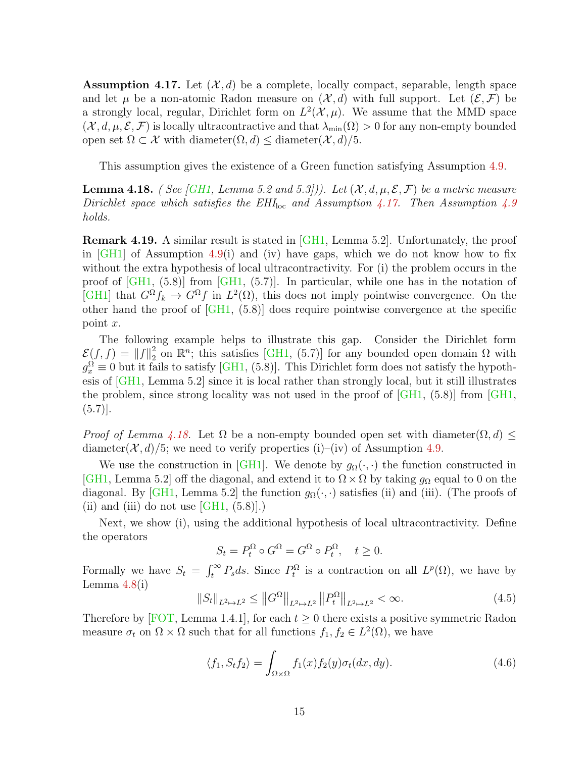<span id="page-14-0"></span>**Assumption 4.17.** Let  $(\mathcal{X}, d)$  be a complete, locally compact, separable, length space and let  $\mu$  be a non-atomic Radon measure on  $(\mathcal{X}, d)$  with full support. Let  $(\mathcal{E}, \mathcal{F})$  be a strongly local, regular, Dirichlet form on  $L^2(\mathcal{X}, \mu)$ . We assume that the MMD space  $(\mathcal{X}, d, \mu, \mathcal{E}, \mathcal{F})$  is locally ultracontractive and that  $\lambda_{\min}(\Omega) > 0$  for any non-empty bounded open set  $\Omega \subset \mathcal{X}$  with diameter $(\Omega, d) \leq$  diameter $(\mathcal{X}, d)/5$ .

This assumption gives the existence of a Green function satisfying Assumption [4.9.](#page-9-0)

<span id="page-14-1"></span>**Lemma 4.18.** ( See [\[GH1,](#page-29-7) Lemma 5.2 and 5.3])). Let  $(X, d, \mu, \mathcal{E}, \mathcal{F})$  be a metric measure Dirichlet space which satisfies the  $EHI<sub>loc</sub>$  and Assumption [4.17.](#page-14-0) Then Assumption [4.9](#page-9-0) holds.

Remark 4.19. A similar result is stated in [\[GH1,](#page-29-7) Lemma 5.2]. Unfortunately, the proof in  $\overline{GH1}$  of Assumption [4.9\(](#page-9-0)i) and (iv) have gaps, which we do not know how to fix without the extra hypothesis of local ultracontractivity. For (i) the problem occurs in the proof of [\[GH1,](#page-29-7) (5.8)] from [\[GH1,](#page-29-7) (5.7)]. In particular, while one has in the notation of [\[GH1\]](#page-29-7) that  $G^{\Omega} f_k \to G^{\Omega} f$  in  $L^2(\Omega)$ , this does not imply pointwise convergence. On the other hand the proof of [\[GH1,](#page-29-7) (5.8)] does require pointwise convergence at the specific point x.

The following example helps to illustrate this gap. Consider the Dirichlet form  $\mathcal{E}(f, f) = ||f||_2^2$  $2\over 2$  on  $\mathbb{R}^n$ ; this satisfies [\[GH1,](#page-29-7) (5.7)] for any bounded open domain  $\Omega$  with  $g_x^{\Omega} \equiv 0$  but it fails to satisfy [\[GH1,](#page-29-7) (5.8)]. This Dirichlet form does not satisfy the hypothesis of [\[GH1,](#page-29-7) Lemma 5.2] since it is local rather than strongly local, but it still illustrates the problem, since strong locality was not used in the proof of [\[GH1,](#page-29-7) (5.8)] from [\[GH1,](#page-29-7)  $(5.7)$ .

*Proof of Lemma [4.18.](#page-14-1)* Let  $\Omega$  be a non-empty bounded open set with diameter $(\Omega, d)$ diameter( $\mathcal{X}, d$ )/5; we need to verify properties (i)–(iv) of Assumption [4.9.](#page-9-0)

We use the construction in [\[GH1\]](#page-29-7). We denote by  $g_{\Omega}(\cdot, \cdot)$  the function constructed in [\[GH1,](#page-29-7) Lemma 5.2] off the diagonal, and extend it to  $\Omega \times \Omega$  by taking  $g_{\Omega}$  equal to 0 on the diagonal. By [\[GH1,](#page-29-7) Lemma 5.2] the function  $g_{\Omega}(\cdot, \cdot)$  satisfies (ii) and (iii). (The proofs of (ii) and (iii) do not use  $\left[\text{GH1}, \left(5.8\right)\right]$ .)

Next, we show (i), using the additional hypothesis of local ultracontractivity. Define the operators

$$
S_t = P_t^{\Omega} \circ G^{\Omega} = G^{\Omega} \circ P_t^{\Omega}, \quad t \ge 0.
$$

Formally we have  $S_t = \int_t^{\infty} P_s ds$ . Since  $P_t^{\Omega}$  is a contraction on all  $L^p(\Omega)$ , we have by Lemma  $4.8(i)$  $4.8(i)$ 

$$
||S_t||_{L^2 \to L^2} \le ||G^{\Omega}||_{L^2 \to L^2} ||P_t^{\Omega}||_{L^2 \to L^2} < \infty.
$$
 (4.5)

Therefore by [\[FOT,](#page-29-3) Lemma 1.4.1], for each  $t \geq 0$  there exists a positive symmetric Radon measure  $\sigma_t$  on  $\Omega \times \Omega$  such that for all functions  $f_1, f_2 \in L^2(\Omega)$ , we have

<span id="page-14-2"></span>
$$
\langle f_1, S_t f_2 \rangle = \int_{\Omega \times \Omega} f_1(x) f_2(y) \sigma_t(dx, dy). \tag{4.6}
$$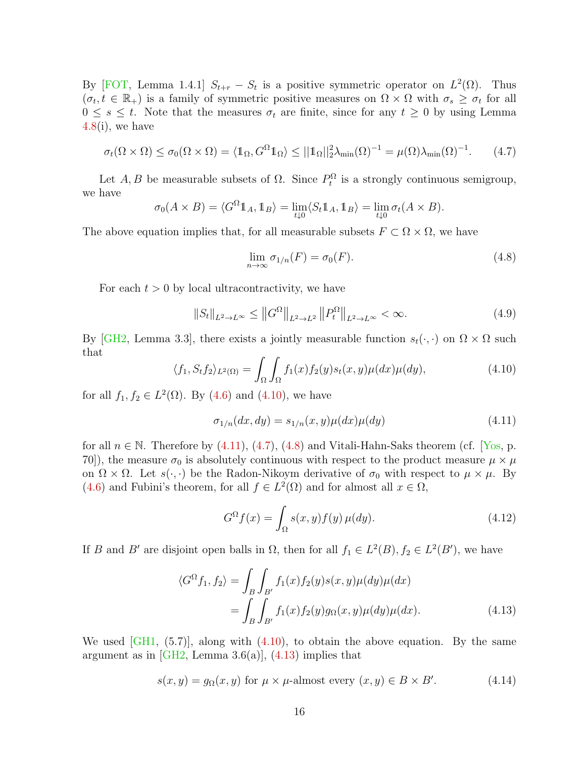By [\[FOT,](#page-29-3) Lemma 1.4.1]  $S_{t+r} - S_t$  is a positive symmetric operator on  $L^2(\Omega)$ . Thus  $(\sigma_t, t \in \mathbb{R}_+)$  is a family of symmetric positive measures on  $\Omega \times \Omega$  with  $\sigma_s \geq \sigma_t$  for all  $0 \leq s \leq t$ . Note that the measures  $\sigma_t$  are finite, since for any  $t \geq 0$  by using Lemma  $4.8(i)$  $4.8(i)$ , we have

<span id="page-15-2"></span>
$$
\sigma_t(\Omega \times \Omega) \le \sigma_0(\Omega \times \Omega) = \langle \mathbb{1}_{\Omega}, G^{\Omega} \mathbb{1}_{\Omega} \rangle \le ||\mathbb{1}_{\Omega}||_2^2 \lambda_{\min}(\Omega)^{-1} = \mu(\Omega) \lambda_{\min}(\Omega)^{-1}.
$$
 (4.7)

Let  $A, B$  be measurable subsets of  $\Omega$ . Since  $P_t^{\Omega}$  is a strongly continuous semigroup, we have

$$
\sigma_0(A \times B) = \langle G^{\Omega} \mathbb{1}_A, \mathbb{1}_B \rangle = \lim_{t \downarrow 0} \langle S_t \mathbb{1}_A, \mathbb{1}_B \rangle = \lim_{t \downarrow 0} \sigma_t(A \times B).
$$

The above equation implies that, for all measurable subsets  $F \subset \Omega \times \Omega$ , we have

<span id="page-15-3"></span>
$$
\lim_{n \to \infty} \sigma_{1/n}(F) = \sigma_0(F). \tag{4.8}
$$

For each  $t > 0$  by local ultracontractivity, we have

$$
||S_t||_{L^2 \to L^\infty} \le ||G^\Omega||_{L^2 \to L^2} ||P_t^\Omega||_{L^2 \to L^\infty} < \infty. \tag{4.9}
$$

By [\[GH2,](#page-29-10) Lemma 3.3], there exists a jointly measurable function  $s_t(\cdot, \cdot)$  on  $\Omega \times \Omega$  such that

<span id="page-15-0"></span>
$$
\langle f_1, S_t f_2 \rangle_{L^2(\Omega)} = \int_{\Omega} \int_{\Omega} f_1(x) f_2(y) s_t(x, y) \mu(dx) \mu(dy), \tag{4.10}
$$

for all  $f_1, f_2 \in L^2(\Omega)$ . By [\(4.6\)](#page-14-2) and [\(4.10\)](#page-15-0), we have

<span id="page-15-1"></span>
$$
\sigma_{1/n}(dx, dy) = s_{1/n}(x, y)\mu(dx)\mu(dy)
$$
\n(4.11)

for all  $n \in \mathbb{N}$ . Therefore by  $(4.11)$ ,  $(4.7)$ ,  $(4.8)$  and Vitali-Hahn-Saks theorem (cf. [\[Yos,](#page-30-7) p. 70]), the measure  $\sigma_0$  is absolutely continuous with respect to the product measure  $\mu \times \mu$ on  $\Omega \times \Omega$ . Let  $s(\cdot, \cdot)$  be the Radon-Nikoym derivative of  $\sigma_0$  with respect to  $\mu \times \mu$ . By [\(4.6\)](#page-14-2) and Fubini's theorem, for all  $f \in L^2(\Omega)$  and for almost all  $x \in \Omega$ ,

<span id="page-15-6"></span><span id="page-15-4"></span>
$$
G^{\Omega}f(x) = \int_{\Omega} s(x, y) f(y) \,\mu(dy). \tag{4.12}
$$

If B and B' are disjoint open balls in  $\Omega$ , then for all  $f_1 \in L^2(B)$ ,  $f_2 \in L^2(B')$ , we have

$$
\langle G^{\Omega} f_1, f_2 \rangle = \int_B \int_{B'} f_1(x) f_2(y) s(x, y) \mu(dy) \mu(dx)
$$
  
= 
$$
\int_B \int_{B'} f_1(x) f_2(y) g_{\Omega}(x, y) \mu(dy) \mu(dx).
$$
 (4.13)

We used  $\lbrack \text{GH1}, \text{ (5.7)} \rbrack$ , along with  $(4.10)$ , to obtain the above equation. By the same argument as in [\[GH2,](#page-29-10) Lemma 3.6(a)],  $(4.13)$  implies that

<span id="page-15-5"></span>
$$
s(x, y) = g_{\Omega}(x, y) \text{ for } \mu \times \mu\text{-almost every } (x, y) \in B \times B'. \tag{4.14}
$$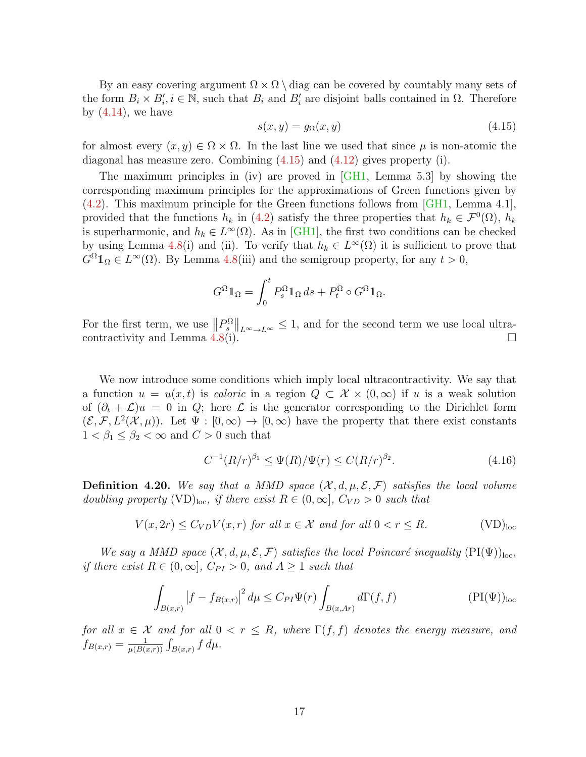By an easy covering argument  $\Omega \times \Omega \setminus \text{diag}$  can be covered by countably many sets of the form  $B_i \times B'_i$ ,  $i \in \mathbb{N}$ , such that  $B_i$  and  $B'_i$  are disjoint balls contained in  $\Omega$ . Therefore by  $(4.14)$ , we have

<span id="page-16-0"></span>
$$
s(x, y) = g_{\Omega}(x, y) \tag{4.15}
$$

for almost every  $(x, y) \in \Omega \times \Omega$ . In the last line we used that since  $\mu$  is non-atomic the diagonal has measure zero. Combining  $(4.15)$  and  $(4.12)$  gives property (i).

The maximum principles in (iv) are proved in [\[GH1,](#page-29-7) Lemma 5.3] by showing the corresponding maximum principles for the approximations of Green functions given by [\(4.2\)](#page-10-1). This maximum principle for the Green functions follows from [\[GH1,](#page-29-7) Lemma 4.1], provided that the functions  $h_k$  in [\(4.2\)](#page-10-1) satisfy the three properties that  $h_k \in \mathcal{F}^0(\Omega)$ ,  $h_k$ is superharmonic, and  $h_k \in L^{\infty}(\Omega)$ . As in [\[GH1\]](#page-29-7), the first two conditions can be checked by using Lemma [4.8\(](#page-9-1)i) and (ii). To verify that  $h_k \in L^{\infty}(\Omega)$  it is sufficient to prove that  $G^{\Omega} \mathbb{1}_{\Omega} \in L^{\infty}(\Omega)$ . By Lemma [4.8\(](#page-9-1)iii) and the semigroup property, for any  $t > 0$ ,

$$
G^{\Omega} \mathbb{1}_{\Omega} = \int_0^t P_s^{\Omega} \mathbb{1}_{\Omega} ds + P_t^{\Omega} \circ G^{\Omega} \mathbb{1}_{\Omega}.
$$

For the first term, we use  $||P^{\Omega}_{s}||_{L^{\infty}\to L^{\infty}} \leq 1$ , and for the second term we use local ultra-contractivity and Lemma [4.8\(](#page-9-1)i).  $\Box$ 

We now introduce some conditions which imply local ultracontractivity. We say that a function  $u = u(x, t)$  is *caloric* in a region  $Q \subset \mathcal{X} \times (0, \infty)$  if u is a weak solution of  $(\partial_t + \mathcal{L})u = 0$  in Q; here  $\mathcal{L}$  is the generator corresponding to the Dirichlet form  $(\mathcal{E}, \mathcal{F}, L^2(\mathcal{X}, \mu))$ . Let  $\Psi : [0, \infty) \to [0, \infty)$  have the property that there exist constants  $1 < \beta_1 \leq \beta_2 < \infty$  and  $C > 0$  such that

<span id="page-16-2"></span><span id="page-16-1"></span>
$$
C^{-1}(R/r)^{\beta_1} \le \Psi(R)/\Psi(r) \le C(R/r)^{\beta_2}.
$$
\n(4.16)

<span id="page-16-3"></span>**Definition 4.20.** We say that a MMD space  $(\mathcal{X}, d, \mu, \mathcal{E}, \mathcal{F})$  satisfies the local volume doubling property (VD)<sub>loc</sub>, if there exist  $R \in (0,\infty]$ ,  $C_{VD} > 0$  such that

$$
V(x, 2r) \le C_{VD} V(x, r) \text{ for all } x \in \mathcal{X} \text{ and for all } 0 < r \le R. \tag{VD}_{\text{loc}}
$$

We say a MMD space  $(X, d, \mu, \mathcal{E}, \mathcal{F})$  satisfies the local Poincaré inequality  $(PI(\Psi))_{loc}$ , if there exist  $R \in (0,\infty]$ ,  $C_{PI} > 0$ , and  $A \ge 1$  such that

$$
\int_{B(x,r)} \left| f - f_{B(x,r)} \right|^2 d\mu \le C_{PI} \Psi(r) \int_{B(x,Ar)} d\Gamma(f,f) \tag{PI(\Psi)_{loc}}
$$

for all  $x \in \mathcal{X}$  and for all  $0 < r \leq R$ , where  $\Gamma(f, f)$  denotes the energy measure, and  $f_{B(x,r)} = \frac{1}{\mu(B)}$  $\frac{1}{\mu(B(x,r))} \int_{B(x,r)} f d\mu.$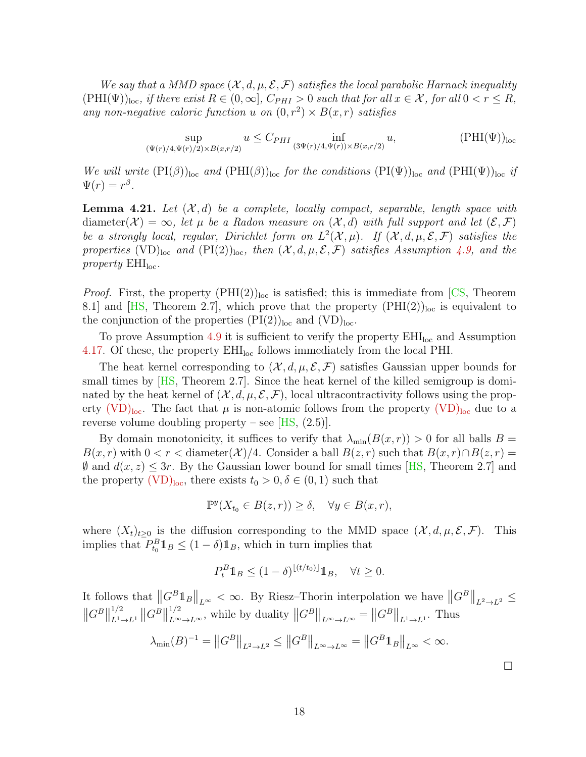We say that a MMD space  $(X, d, \mu, \mathcal{E}, \mathcal{F})$  satisfies the local parabolic Harnack inequality  $(PHI(\Psi))_{loc}$ , if there exist  $R \in (0,\infty]$ ,  $C_{PHI} > 0$  such that for all  $x \in \mathcal{X}$ , for all  $0 < r \leq R$ , any non-negative caloric function u on  $(0, r^2) \times B(x, r)$  satisfies

$$
\sup_{(\Psi(r)/4, \Psi(r)/2) \times B(x, r/2)} u \le C_{PHI} \inf_{(3\Psi(r)/4, \Psi(r)) \times B(x, r/2)} u,
$$
 (PHI $(\Psi$ ))<sub>loc</sub>

We will write  $(PI(\beta))_{loc}$  and  $(PHI(\beta))_{loc}$  for the conditions  $(PI(\Psi))_{loc}$  and  $(PHI(\Psi))_{loc}$  if  $\Psi(r)=r^{\beta}.$ 

<span id="page-17-0"></span>**Lemma 4.21.** Let  $(X, d)$  be a complete, locally compact, separable, length space with diameter( $\mathcal{X}$ ) =  $\infty$ , let  $\mu$  be a Radon measure on  $(\mathcal{X}, d)$  with full support and let  $(\mathcal{E}, \mathcal{F})$ be a strongly local, regular, Dirichlet form on  $L^2(\mathcal{X}, \mu)$ . If  $(\mathcal{X}, d, \mu, \mathcal{E}, \mathcal{F})$  satisfies the properties (VD)<sub>loc</sub> and (PI(2))<sub>loc</sub>, then  $(\mathcal{X}, d, \mu, \mathcal{E}, \mathcal{F})$  satisfies Assumption [4.9,](#page-9-0) and the property  $EHI<sub>loc</sub>$ .

*Proof.* First, the property  $(PHI(2))_{loc}$  is satisfied; this is immediate from [\[CS,](#page-29-11) Theorem 8.1] and [\[HS,](#page-30-8) Theorem 2.7], which prove that the property  $(PHI(2))<sub>loc</sub>$  is equivalent to the conjunction of the properties  $(PI(2))<sub>loc</sub>$  and  $(VD)<sub>loc</sub>$ .

To prove Assumption [4.9](#page-9-0) it is sufficient to verify the property  $\text{EHI}_{\text{loc}}$  and Assumption [4.17.](#page-14-0) Of these, the property  $\text{EHI}_{\text{loc}}$  follows immediately from the local PHI.

The heat kernel corresponding to  $(\mathcal{X}, d, \mu, \mathcal{E}, \mathcal{F})$  satisfies Gaussian upper bounds for small times by  $[HS, Theorem 2.7]$ . Since the heat kernel of the killed semigroup is dominated by the heat kernel of  $(\mathcal{X}, d, \mu, \mathcal{E}, \mathcal{F})$ , local ultracontractivity follows using the property  $(VD)_{loc}$  $(VD)_{loc}$ . The fact that  $\mu$  is non-atomic follows from the property  $(VD)_{loc}$  due to a reverse volume doubling property – see  $[HS, (2.5)].$ 

By domain monotonicity, it suffices to verify that  $\lambda_{\min}(B(x,r)) > 0$  for all balls  $B =$  $B(x, r)$  with  $0 < r <$  diameter(X)/4. Consider a ball  $B(z, r)$  such that  $B(x, r) \cap B(z, r) =$  $\emptyset$  and  $d(x, z) \leq 3r$ . By the Gaussian lower bound for small times [\[HS,](#page-30-8) Theorem 2.7] and the property [\(VD\)](#page-16-1)<sub>loc</sub>, there exists  $t_0 > 0, \delta \in (0, 1)$  such that

$$
\mathbb{P}^y(X_{t_0} \in B(z,r)) \ge \delta, \quad \forall y \in B(x,r),
$$

where  $(X_t)_{t>0}$  is the diffusion corresponding to the MMD space  $(X, d, \mu, \mathcal{E}, \mathcal{F})$ . This implies that  $P_{t_0}^B \mathbb{1}_B \leq (1 - \delta) \mathbb{1}_B$ , which in turn implies that

$$
P_t^B \mathbb{1}_B \le (1 - \delta)^{\lfloor (t/t_0) \rfloor} \mathbb{1}_B, \quad \forall t \ge 0.
$$

It follows that  $\left\|G^B1_B\right\|_{L^{\infty}} < \infty$ . By Riesz–Thorin interpolation we have  $\left\|G^B\right\|_{L^2 \to L^2} \le$  $\left\|G^{B}\right\|$ 1/2  $\|L^{1}\to L^{1}}\|G^{B}\|$ <sup>1/2</sup><sub>L∞→L∞</sub>, while by duality  $||G^B||_{L^{\infty} \to L^{\infty}} = ||G^B||_{L^1 \to L^1}$ . Thus

$$
\lambda_{\min}(B)^{-1} = ||G^B||_{L^2 \to L^2} \le ||G^B||_{L^{\infty} \to L^{\infty}} = ||G^B \mathbb{1}_B||_{L^{\infty}} < \infty.
$$

 $\Box$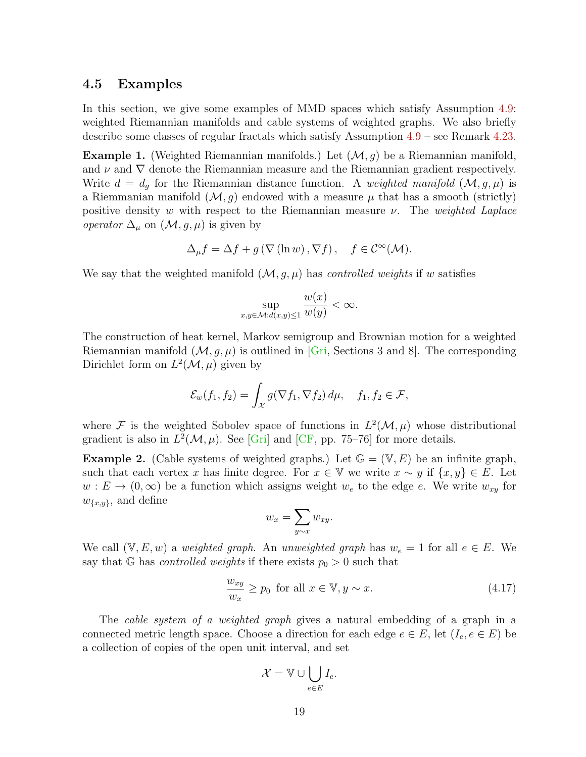#### 4.5 Examples

In this section, we give some examples of MMD spaces which satisfy Assumption [4.9:](#page-9-0) weighted Riemannian manifolds and cable systems of weighted graphs. We also briefly describe some classes of regular fractals which satisfy Assumption [4.9](#page-9-0) – see Remark [4.23.](#page-19-0)

**Example 1.** (Weighted Riemannian manifolds.) Let  $(\mathcal{M}, g)$  be a Riemannian manifold, and  $\nu$  and  $\nabla$  denote the Riemannian measure and the Riemannian gradient respectively. Write  $d = d_g$  for the Riemannian distance function. A weighted manifold  $(M, g, \mu)$  is a Riemmanian manifold  $(M, g)$  endowed with a measure  $\mu$  that has a smooth (strictly) positive density w with respect to the Riemannian measure  $\nu$ . The weighted Laplace *operator*  $\Delta_{\mu}$  on  $(\mathcal{M}, g, \mu)$  is given by

$$
\Delta_{\mu} f = \Delta f + g \left( \nabla \left( \ln w \right), \nabla f \right), \quad f \in \mathcal{C}^{\infty}(\mathcal{M}).
$$

We say that the weighted manifold  $(M, g, \mu)$  has *controlled weights* if w satisfies

$$
\sup_{x,y\in\mathcal{M}:d(x,y)\leq 1}\frac{w(x)}{w(y)}<\infty.
$$

The construction of heat kernel, Markov semigroup and Brownian motion for a weighted Riemannian manifold  $(M, g, \mu)$  is outlined in [\[Gri,](#page-29-12) Sections 3 and 8]. The corresponding Dirichlet form on  $L^2(\mathcal{M}, \mu)$  given by

$$
\mathcal{E}_w(f_1, f_2) = \int_{\mathcal{X}} g(\nabla f_1, \nabla f_2) d\mu, \quad f_1, f_2 \in \mathcal{F},
$$

where F is the weighted Sobolev space of functions in  $L^2(\mathcal{M}, \mu)$  whose distributional gradient is also in  $L^2(\mathcal{M}, \mu)$ . See [\[Gri\]](#page-29-12) and [\[CF,](#page-29-4) pp. 75–76] for more details.

**Example 2.** (Cable systems of weighted graphs.) Let  $\mathbb{G} = (\mathbb{V}, E)$  be an infinite graph, such that each vertex x has finite degree. For  $x \in V$  we write  $x \sim y$  if  $\{x, y\} \in E$ . Let  $w: E \to (0, \infty)$  be a function which assigns weight  $w_e$  to the edge e. We write  $w_{xy}$  for  $w_{\{x,y\}}$ , and define

$$
w_x = \sum_{y \sim x} w_{xy}.
$$

We call  $(V, E, w)$  a weighted graph. An unweighted graph has  $w_e = 1$  for all  $e \in E$ . We say that G has *controlled weights* if there exists  $p_0 > 0$  such that

$$
\frac{w_{xy}}{w_x} \ge p_0 \text{ for all } x \in \mathbb{V}, y \sim x. \tag{4.17}
$$

The *cable system of a weighted graph* gives a natural embedding of a graph in a connected metric length space. Choose a direction for each edge  $e \in E$ , let  $(I_e, e \in E)$  be a collection of copies of the open unit interval, and set

$$
\mathcal{X} = \mathbb{V} \cup \bigcup_{e \in E} I_e.
$$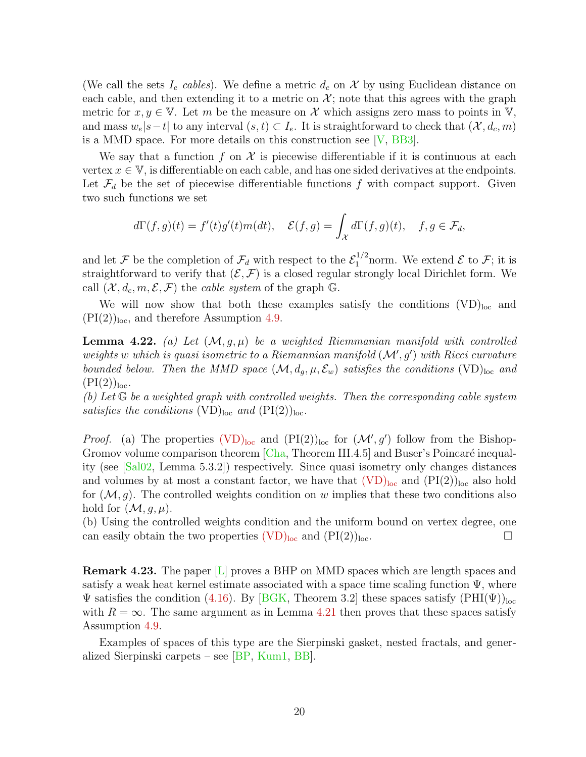(We call the sets  $I_e$  cables). We define a metric  $d_c$  on X by using Euclidean distance on each cable, and then extending it to a metric on  $\mathcal{X}$ ; note that this agrees with the graph metric for  $x, y \in V$ . Let m be the measure on X which assigns zero mass to points in V, and mass  $w_e|s-t|$  to any interval  $(s, t) \subset I_e$ . It is straightforward to check that  $(\mathcal{X}, d_c, m)$ is a MMD space. For more details on this construction see [\[V,](#page-30-9) [BB3\]](#page-28-6).

We say that a function f on  $\mathcal X$  is piecewise differentiable if it is continuous at each vertex  $x \in V$ , is differentiable on each cable, and has one sided derivatives at the endpoints. Let  $\mathcal{F}_d$  be the set of piecewise differentiable functions f with compact support. Given two such functions we set

$$
d\Gamma(f,g)(t) = f'(t)g'(t)m(dt), \quad \mathcal{E}(f,g) = \int_{\mathcal{X}} d\Gamma(f,g)(t), \quad f, g \in \mathcal{F}_d,
$$

and let F be the completion of  $\mathcal{F}_d$  with respect to the  $\mathcal{E}_1^{1/2}$  norm. We extend E to F; it is straightforward to verify that  $(\mathcal{E}, \mathcal{F})$  is a closed regular strongly local Dirichlet form. We call  $(\mathcal{X}, d_c, m, \mathcal{E}, \mathcal{F})$  the *cable system* of the graph  $\mathbb{G}$ .

We will now show that both these examples satisfy the conditions  $(VD)_{loc}$  and  $(PI(2))<sub>loc</sub>$ , and therefore Assumption [4.9.](#page-9-0)

<span id="page-19-1"></span>**Lemma 4.22.** (a) Let  $(M, g, \mu)$  be a weighted Riemmanian manifold with controlled weights w which is quasi isometric to a Riemannian manifold  $(M', g')$  with Ricci curvature bounded below. Then the MMD space  $(M, d_q, \mu, \mathcal{E}_w)$  satisfies the conditions (VD)<sub>loc</sub> and  $(PI(2))<sub>loc</sub>$ .

(b) Let  $\mathbb G$  be a weighted graph with controlled weights. Then the corresponding cable system satisfies the conditions  $(\text{VD})_{\text{loc}}$  and  $(\text{PI}(2))_{\text{loc}}$ .

*Proof.* (a) The properties  $(VD)_{loc}$  $(VD)_{loc}$  and  $(PI(2))_{loc}$  for  $(\mathcal{M}', g')$  follow from the Bishop-Gromov volume comparison theorem  $[Cha, Theorem III.4.5]$  and Buser's Poincaré inequality (see [\[Sal02,](#page-30-10) Lemma 5.3.2]) respectively. Since quasi isometry only changes distances and volumes by at most a constant factor, we have that  $(VD)_{loc}$  $(VD)_{loc}$  and  $(PI(2))_{loc}$  also hold for  $(M, g)$ . The controlled weights condition on w implies that these two conditions also hold for  $(\mathcal{M}, g, \mu)$ .

(b) Using the controlled weights condition and the uniform bound on vertex degree, one can easily obtain the two properties  $(\overline{VD})_{loc}$  and  $(\overline{PI(2)})_{loc}$ .

<span id="page-19-0"></span>Remark 4.23. The paper [\[L\]](#page-30-1) proves a BHP on MMD spaces which are length spaces and satisfy a weak heat kernel estimate associated with a space time scaling function  $\Psi$ , where  $\Psi$  satisfies the condition [\(4.16\)](#page-16-2). By [\[BGK,](#page-28-7) Theorem 3.2] these spaces satisfy  $(PHI(\Psi))_{loc}$ with  $R = \infty$ . The same argument as in Lemma [4.21](#page-17-0) then proves that these spaces satisfy Assumption [4.9.](#page-9-0)

Examples of spaces of this type are the Sierpinski gasket, nested fractals, and generalized Sierpinski carpets – see [\[BP,](#page-28-8) [Kum1,](#page-30-11) [BB\]](#page-28-9).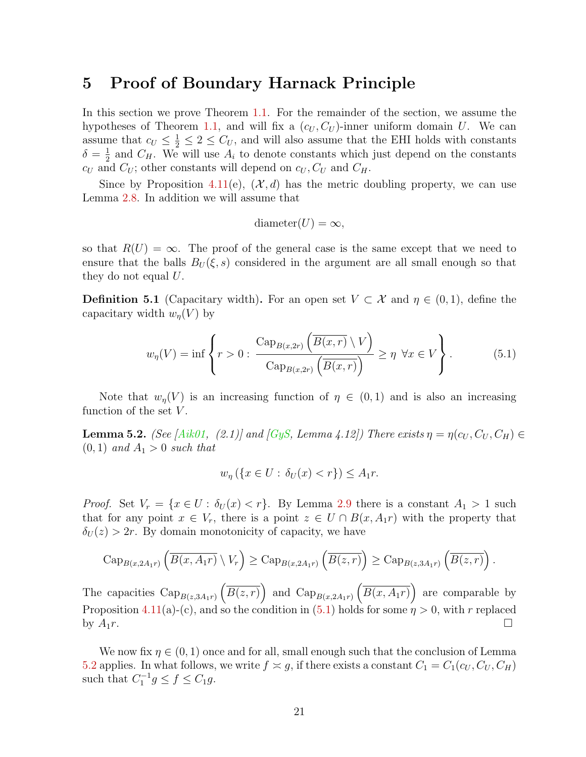## <span id="page-20-0"></span>5 Proof of Boundary Harnack Principle

In this section we prove Theorem [1.1.](#page-1-0) For the remainder of the section, we assume the hypotheses of Theorem [1.1,](#page-1-0) and will fix a  $(c_U, C_U)$ -inner uniform domain U. We can assume that  $c_U \leq \frac{1}{2} \leq 2 \leq C_U$ , and will also assume that the EHI holds with constants  $\delta = \frac{1}{2}$  $\frac{1}{2}$  and  $C_H$ . We will use  $A_i$  to denote constants which just depend on the constants  $c_U$  and  $C_U$ ; other constants will depend on  $c_U, C_U$  and  $C_H$ .

Since by Proposition [4.11\(](#page-11-0)e),  $(\mathcal{X}, d)$  has the metric doubling property, we can use Lemma [2.8.](#page-4-1) In addition we will assume that

$$
diameter(U)=\infty,
$$

so that  $R(U) = \infty$ . The proof of the general case is the same except that we need to ensure that the balls  $B_U(\xi, s)$  considered in the argument are all small enough so that they do not equal  $U$ .

**Definition 5.1** (Capacitary width). For an open set  $V \subset \mathcal{X}$  and  $\eta \in (0,1)$ , define the capacitary width  $w_n(V)$  by

<span id="page-20-1"></span>
$$
w_{\eta}(V) = \inf \left\{ r > 0 : \frac{\text{Cap}_{B(x,2r)}\left(\overline{B(x,r)} \setminus V\right)}{\text{Cap}_{B(x,2r)}\left(\overline{B(x,r)}\right)} \ge \eta \ \forall x \in V \right\}.
$$
 (5.1)

Note that  $w_n(V)$  is an increasing function of  $\eta \in (0,1)$  and is also an increasing function of the set  $V$ .

<span id="page-20-2"></span>**Lemma 5.2.** (See [\[Aik01,](#page-28-3) (2.1)] and [\[GyS,](#page-30-0) Lemma 4.12]) There exists  $\eta = \eta(c_U, C_U, C_H) \in$  $(0, 1)$  and  $A_1 > 0$  such that

$$
w_{\eta}\left(\left\{x \in U : \delta_U(x) < r\right\}\right) \le A_1 r.
$$

*Proof.* Set  $V_r = \{x \in U : \delta_U(x) < r\}$ . By Lemma [2.9](#page-5-1) there is a constant  $A_1 > 1$  such that for any point  $x \in V_r$ , there is a point  $z \in U \cap B(x, A_1r)$  with the property that  $\delta_U(z) > 2r$ . By domain monotonicity of capacity, we have

$$
\operatorname{Cap}_{B(x,2A_1r)}\left(\overline{B(x,A_1r)}\setminus V_r\right)\geq \operatorname{Cap}_{B(x,2A_1r)}\left(\overline{B(z,r)}\right)\geq \operatorname{Cap}_{B(z,3A_1r)}\left(\overline{B(z,r)}\right).
$$

The capacities  $\text{Cap}_{B(z,3A_1r)}\left(\overline{B(z,r)}\right)$  and  $\text{Cap}_{B(x,2A_1r)}\left(\overline{B(x,A_1r)}\right)$  are comparable by Proposition [4.11\(](#page-11-0)a)-(c), and so the condition in [\(5.1\)](#page-20-1) holds for some  $\eta > 0$ , with r replaced by  $A_1r$ .

We now fix  $\eta \in (0,1)$  once and for all, small enough such that the conclusion of Lemma [5.2](#page-20-2) applies. In what follows, we write  $f \approx g$ , if there exists a constant  $C_1 = C_1(c_U, C_U, C_H)$ such that  $C_1^{-1}g \le f \le C_1g$ .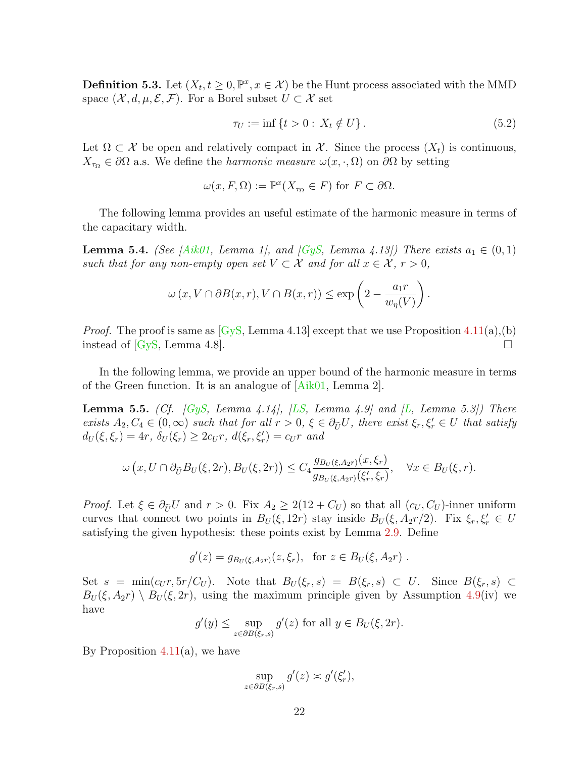**Definition 5.3.** Let  $(X_t, t \geq 0, \mathbb{P}^x, x \in \mathcal{X})$  be the Hunt process associated with the MMD space  $(\mathcal{X}, d, \mu, \mathcal{E}, \mathcal{F})$ . For a Borel subset  $U \subset \mathcal{X}$  set

$$
\tau_U := \inf \{ t > 0 : X_t \notin U \}. \tag{5.2}
$$

Let  $\Omega \subset \mathcal{X}$  be open and relatively compact in X. Since the process  $(X_t)$  is continuous,  $X_{\tau_{\Omega}} \in \partial\Omega$  a.s. We define the *harmonic measure*  $\omega(x, \cdot, \Omega)$  on  $\partial\Omega$  by setting

$$
\omega(x, F, \Omega) := \mathbb{P}^x(X_{\tau_{\Omega}} \in F) \text{ for } F \subset \partial \Omega.
$$

The following lemma provides an useful estimate of the harmonic measure in terms of the capacitary width.

<span id="page-21-0"></span>**Lemma 5.4.** (See [\[Aik01,](#page-28-3) Lemma 1], and [\[GyS,](#page-30-0) Lemma 4.13]) There exists  $a_1 \in (0,1)$ such that for any non-empty open set  $V \subset \mathcal{X}$  and for all  $x \in \mathcal{X}$ ,  $r > 0$ ,

$$
\omega(x, V \cap \partial B(x, r), V \cap B(x, r)) \le \exp\left(2 - \frac{a_1 r}{w_\eta(V)}\right).
$$

*Proof.* The proof is same as  $\langle Gys, \text{Lemma 4.13} \rangle$  except that we use Proposition [4.11\(](#page-11-0)a),(b) instead of  $\lbrack Gys, Lemma 4.8\rbrack$ .

In the following lemma, we provide an upper bound of the harmonic measure in terms of the Green function. It is an analogue of [\[Aik01,](#page-28-3) Lemma 2].

<span id="page-21-1"></span>**Lemma 5.5.** (Cf. [\[GyS,](#page-30-0) Lemma 4.14], [\[LS,](#page-30-2) Lemma 4.9] and [\[L,](#page-30-1) Lemma 5.3]) There exists  $A_2, C_4 \in (0, \infty)$  such that for all  $r > 0, \xi \in \partial_{\tilde{U}}U$ , there exist  $\xi_r, \xi'_r \in U$  that satisfy  $d_U(\xi, \xi_r) = 4r, \ \delta_U(\xi_r) \geq 2c_U r, \ d(\xi_r, \xi'_r) = c_U r \ and$ 

$$
\omega\left(x,U\cap\partial_{\widetilde{U}}B_U(\xi,2r),B_U(\xi,2r)\right)\leq C_4\frac{g_{B_U(\xi,A_{2}r)}(x,\xi_r)}{g_{B_U(\xi,A_{2}r)}(\xi'_r,\xi_r)},\quad\forall x\in B_U(\xi,r).
$$

*Proof.* Let  $\xi \in \partial_{\tilde{U}} U$  and  $r > 0$ . Fix  $A_2 \geq 2(12 + C_U)$  so that all  $(c_U, C_U)$ -inner uniform curves that connect two points in  $B_U(\xi, 12r)$  stay inside  $B_U(\xi, A_2r/2)$ . Fix  $\xi_r, \xi'_r \in U$ satisfying the given hypothesis: these points exist by Lemma [2.9.](#page-5-1) Define

$$
g'(z) = g_{B_U(\xi, A_2r)}(z, \xi_r)
$$
, for  $z \in B_U(\xi, A_2r)$ .

Set  $s = \min(c_U r, 5r/C_U)$ . Note that  $B_U(\xi_r, s) = B(\xi_r, s) \subset U$ . Since  $B(\xi_r, s) \subset$  $B_U(\xi, A_2r) \setminus B_U(\xi, 2r)$ , using the maximum principle given by Assumption [4.9\(](#page-9-0)iv) we have

$$
g'(y) \le \sup_{z \in \partial B(\xi_r, s)} g'(z)
$$
 for all  $y \in B_U(\xi, 2r)$ .

By Proposition [4.11\(](#page-11-0)a), we have

$$
\sup_{z \in \partial B(\xi_r, s)} g'(z) \asymp g'(\xi'_r),
$$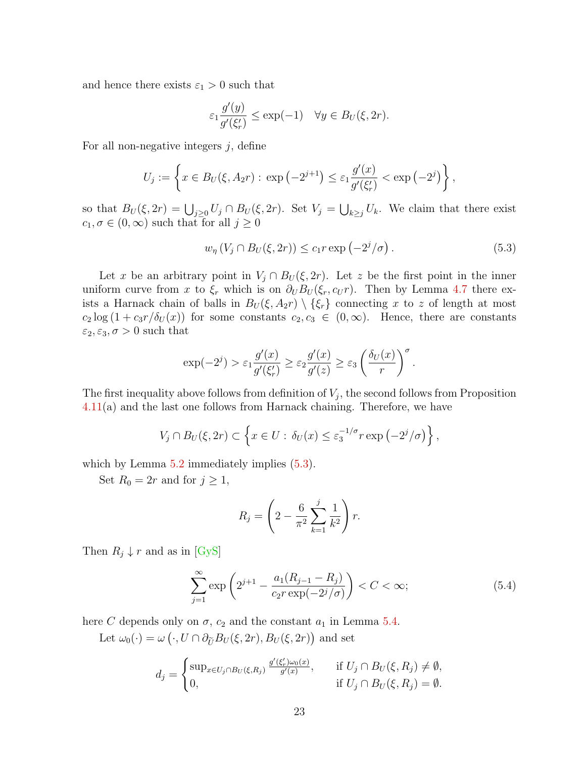and hence there exists  $\varepsilon_1 > 0$  such that

$$
\varepsilon_1 \frac{g'(y)}{g'(\xi'_r)} \le \exp(-1) \quad \forall y \in B_U(\xi, 2r).
$$

For all non-negative integers  $j$ , define

$$
U_j := \left\{ x \in B_U(\xi, A_2 r) : \exp(-2^{j+1}) \le \varepsilon_1 \frac{g'(x)}{g'(\xi'_r)} < \exp(-2^j) \right\},\,
$$

so that  $B_U(\xi, 2r) = \bigcup_{j \geq 0} U_j \cap B_U(\xi, 2r)$ . Set  $V_j = \bigcup_{k \geq j} U_k$ . We claim that there exist  $c_1, \sigma \in (0, \infty)$  such that for all  $j \geq 0$ 

<span id="page-22-0"></span>
$$
w_{\eta} (V_j \cap B_U(\xi, 2r)) \le c_1 r \exp\left(-2^j/\sigma\right). \tag{5.3}
$$

Let x be an arbitrary point in  $V_j \cap B_U(\xi, 2r)$ . Let z be the first point in the inner uniform curve from x to  $\xi_r$  which is on  $\partial_U B_U(\xi_r, c_U r)$ . Then by Lemma [4.7](#page-8-0) there exists a Harnack chain of balls in  $B_U(\xi, A_2r) \setminus {\xi_r}$  connecting x to z of length at most  $c_2 \log (1 + c_3 r/\delta_U(x))$  for some constants  $c_2, c_3 \in (0, \infty)$ . Hence, there are constants  $\varepsilon_2, \varepsilon_3, \sigma > 0$  such that

$$
\exp(-2^j) > \varepsilon_1 \frac{g'(x)}{g'(\xi'_r)} \ge \varepsilon_2 \frac{g'(x)}{g'(z)} \ge \varepsilon_3 \left(\frac{\delta_U(x)}{r}\right)^{\sigma}.
$$

The first inequality above follows from definition of  $V_j$ , the second follows from Proposition [4.11\(](#page-11-0)a) and the last one follows from Harnack chaining. Therefore, we have

$$
V_j \cap B_U(\xi, 2r) \subset \left\{ x \in U : \delta_U(x) \le \varepsilon_3^{-1/\sigma} r \exp\left(-2^j/\sigma\right) \right\},\
$$

which by Lemma  $5.2$  immediately implies  $(5.3)$ .

Set  $R_0 = 2r$  and for  $j \geq 1$ ,

$$
R_j = \left(2 - \frac{6}{\pi^2} \sum_{k=1}^j \frac{1}{k^2}\right) r.
$$

Then  $R_j \downarrow r$  and as in [\[GyS\]](#page-30-0)

$$
\sum_{j=1}^{\infty} \exp\left(2^{j+1} - \frac{a_1(R_{j-1} - R_j)}{c_2 r \exp(-2^j/\sigma)}\right) < C < \infty;\tag{5.4}
$$

here C depends only on  $\sigma$ ,  $c_2$  and the constant  $a_1$  in Lemma [5.4.](#page-21-0)

Let  $\omega_0(\cdot) = \omega\left(\cdot, U \cap \partial_{\widetilde{U}} B_U(\xi, 2r), B_U(\xi, 2r)\right)$  and set

$$
d_j = \begin{cases} \sup_{x \in U_j \cap B_U(\xi, R_j)} \frac{g'(\xi_r')\omega_0(x)}{g'(x)}, & \text{if } U_j \cap B_U(\xi, R_j) \neq \emptyset, \\ 0, & \text{if } U_j \cap B_U(\xi, R_j) = \emptyset. \end{cases}
$$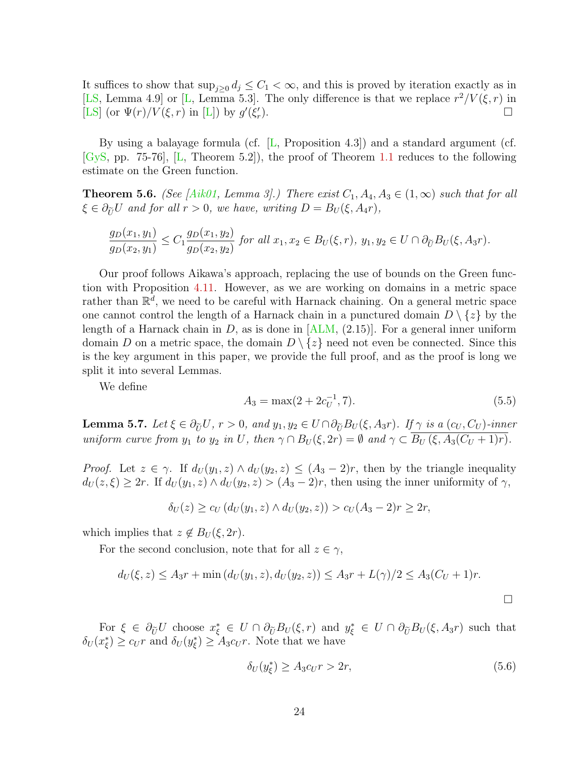It suffices to show that  $\sup_{j\geq 0} d_j \leq C_1 < \infty$ , and this is proved by iteration exactly as in [\[LS,](#page-30-2) Lemma 4.9] or [\[L,](#page-30-1) Lemma 5.3]. The only difference is that we replace  $r^2/V(\xi,r)$  in [\[LS\]](#page-30-2) (or  $\Psi(r)/V(\xi,r)$  in [\[L\]](#page-30-1)) by  $g'(\xi'_r)$ ).  $\Box$ 

By using a balayage formula (cf. [\[L,](#page-30-1) Proposition 4.3]) and a standard argument (cf. [\[GyS,](#page-30-0) pp. 75-76], [\[L,](#page-30-1) Theorem 5.2]), the proof of Theorem [1.1](#page-1-0) reduces to the following estimate on the Green function.

<span id="page-23-0"></span>**Theorem 5.6.** (See [\[Aik01,](#page-28-3) Lemma 3].) There exist  $C_1$ ,  $A_4$ ,  $A_3 \in (1,\infty)$  such that for all  $\xi \in \partial_{\tilde{U}} U$  and for all  $r > 0$ , we have, writing  $D = B_U(\xi, A_4r)$ ,

$$
\frac{g_D(x_1, y_1)}{g_D(x_2, y_1)} \le C_1 \frac{g_D(x_1, y_2)}{g_D(x_2, y_2)} \text{ for all } x_1, x_2 \in B_U(\xi, r), y_1, y_2 \in U \cap \partial_{\widetilde{U}} B_U(\xi, A_3 r).
$$

Our proof follows Aikawa's approach, replacing the use of bounds on the Green function with Proposition [4.11.](#page-11-0) However, as we are working on domains in a metric space rather than  $\mathbb{R}^{\overline{d}}$ , we need to be careful with Harnack chaining. On a general metric space one cannot control the length of a Harnack chain in a punctured domain  $D \setminus \{z\}$  by the length of a Harnack chain in D, as is done in  $[ALM, (2.15)]$ . For a general inner uniform domain D on a metric space, the domain  $D \setminus \{z\}$  need not even be connected. Since this is the key argument in this paper, we provide the full proof, and as the proof is long we split it into several Lemmas.

We define

$$
A_3 = \max(2 + 2c_U^{-1}, 7). \tag{5.5}
$$

<span id="page-23-1"></span>**Lemma 5.7.** Let  $\xi \in \partial_{\tilde{U}} U$ ,  $r > 0$ , and  $y_1, y_2 \in U \cap \partial_{\tilde{U}} B_U(\xi, A_3r)$ . If  $\gamma$  is a  $(c_U, C_U)$ -inner uniform curve from  $y_1$  to  $y_2$  in U, then  $\gamma \cap B_U(\xi, 2r) = \emptyset$  and  $\gamma \subset \overline{B_U(\xi, A_3(C_U + 1)r)}$ .

*Proof.* Let  $z \in \gamma$ . If  $d_U(y_1, z) \wedge d_U(y_2, z) \leq (A_3 - 2)r$ , then by the triangle inequality  $d_U(z,\xi) \geq 2r$ . If  $d_U(y_1,z) \wedge d_U(y_2,z) > (A_3-2)r$ , then using the inner uniformity of  $\gamma$ ,

$$
\delta_U(z) \ge c_U \left( d_U(y_1, z) \wedge d_U(y_2, z) \right) > c_U(A_3 - 2)r \ge 2r,
$$

which implies that  $z \notin B_U(\xi, 2r)$ .

For the second conclusion, note that for all  $z \in \gamma$ ,

$$
d_U(\xi, z) \le A_3 r + \min (d_U(y_1, z), d_U(y_2, z)) \le A_3 r + L(\gamma)/2 \le A_3 (C_U + 1)r.
$$

For  $\xi \in \partial_{\tilde{U}} U$  choose  $x_{\xi}^* \in U \cap \partial_{\tilde{U}} B_U(\xi, r)$  and  $y_{\xi}^* \in U \cap \partial_{\tilde{U}} B_U(\xi, A_3r)$  such that  $\delta_U(x_\xi^*) \geq c_U r$  and  $\delta_U(y_\xi^*) \geq A_3 c_U r$ . Note that we have

$$
\delta_U(y_\xi^*) \ge A_3 c_U r > 2r,\tag{5.6}
$$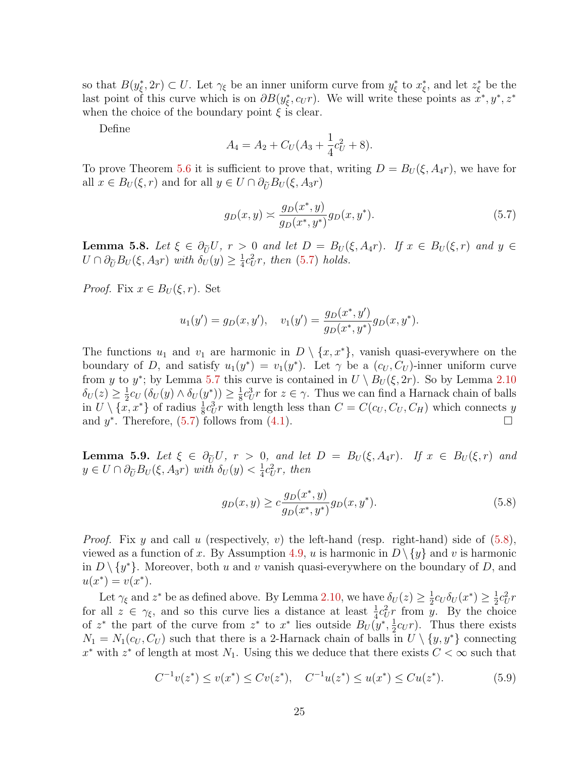so that  $B(y_{\xi}^*, 2r) \subset U$ . Let  $\gamma_{\xi}$  be an inner uniform curve from  $y_{\xi}^*$  to  $x_{\xi}^*$ , and let  $z_{\xi}^*$  be the last point of this curve which is on  $\partial B(y_{\xi}^*, c_U r)$ . We will write these points as  $x^*, y^*, z^*$ when the choice of the boundary point  $\xi$  is clear.

Define

$$
A_4 = A_2 + C_U(A_3 + \frac{1}{4}c_U^2 + 8).
$$

To prove Theorem [5.6](#page-23-0) it is sufficient to prove that, writing  $D = B_U(\xi, A_4r)$ , we have for all  $x \in B_U(\xi, r)$  and for all  $y \in U \cap \partial_{\tilde{U}} B_U(\xi, A_3r)$ 

<span id="page-24-0"></span>
$$
g_D(x,y) \approx \frac{g_D(x^*,y)}{g_D(x^*,y^*)} g_D(x,y^*). \tag{5.7}
$$

<span id="page-24-2"></span>**Lemma 5.8.** Let  $\xi \in \partial_{\tilde{U}}U$ ,  $r > 0$  and let  $D = B_U(\xi, A_4r)$ . If  $x \in B_U(\xi, r)$  and  $y \in$  $U \cap \partial_{\widetilde{U}} B_U(\xi, A_3r)$  with  $\delta_U(y) \geq \frac{1}{4}$  $\frac{1}{4}c_U^2r$ , then [\(5.7\)](#page-24-0) holds.

*Proof.* Fix  $x \in B_U(\xi, r)$ . Set

$$
u_1(y') = g_D(x, y'),
$$
  $v_1(y') = \frac{g_D(x^*, y')}{g_D(x^*, y^*)} g_D(x, y^*).$ 

The functions  $u_1$  and  $v_1$  are harmonic in  $D \setminus \{x, x^*\}$ , vanish quasi-everywhere on the boundary of D, and satisfy  $u_1(y^*) = v_1(y^*)$ . Let  $\gamma$  be a  $(c_U, C_U)$ -inner uniform curve from y to y<sup>\*</sup>; by Lemma [5.7](#page-23-1) this curve is contained in  $U \setminus B_U(\xi, 2r)$ . So by Lemma [2.10](#page-5-2)  $\delta_U(z) \geq \frac{1}{2}$  $\frac{1}{2}c_U\left(\delta_U(y)\wedge \delta_U(y^*)\right)\geq \frac{1}{8}$  $\frac{1}{8}c_U^3r$  for  $z \in \gamma$ . Thus we can find a Harnack chain of balls in  $U \setminus {\overline{x}}, x^*$  of radius  $\frac{1}{8}c_U^3r$  with length less than  $C = C(c_U, C_U, C_H)$  which connects y and  $y^*$ . Therefore, [\(5.7\)](#page-24-0) follows from [\(4.1\)](#page-8-1).

<span id="page-24-3"></span>**Lemma 5.9.** Let  $\xi \in \partial_{\tilde{U}}U$ ,  $r > 0$ , and let  $D = B_U(\xi, A_4r)$ . If  $x \in B_U(\xi, r)$  and  $y \in U \cap \partial_{\tilde{U}} B_U(\xi, A_3 r)$  with  $\delta_U(y) < \frac{1}{4}$  $rac{1}{4}c_U^2r$ , then

<span id="page-24-1"></span>
$$
g_D(x,y) \ge c \frac{g_D(x^*,y)}{g_D(x^*,y^*)} g_D(x,y^*). \tag{5.8}
$$

*Proof.* Fix y and call u (respectively, v) the left-hand (resp. right-hand) side of  $(5.8)$ , viewed as a function of x. By Assumption [4.9,](#page-9-0) u is harmonic in  $D \setminus \{y\}$  and v is harmonic in  $D \setminus \{y^*\}$ . Moreover, both u and v vanish quasi-everywhere on the boundary of D, and  $u(x^*) = v(x^*).$ 

Let  $\gamma_{\xi}$  and  $z^*$  be as defined above. By Lemma [2.10,](#page-5-2) we have  $\delta_U(z) \geq \frac{1}{2}$  $\frac{1}{2}c_U \delta_U(x^*) \geq \frac{1}{2}$  $rac{1}{2}c_U^2r$ for all  $z \in \gamma_{\xi}$ , and so this curve lies a distance at least  $\frac{1}{4}c_U^2r$  from y. By the choice of  $z^*$  the part of the curve from  $z^*$  to  $x^*$  lies outside  $B_U(y^*, \frac{1}{2})$  $\frac{1}{2}c_U r$ . Thus there exists  $N_1 = N_1(c_U, C_U)$  such that there is a 2-Harnack chain of balls in  $U \setminus \{y, y^*\}$  connecting  $x^*$  with  $z^*$  of length at most  $N_1$ . Using this we deduce that there exists  $C < \infty$  such that

$$
C^{-1}v(z^*) \le v(x^*) \le Cv(z^*), \quad C^{-1}u(z^*) \le u(x^*) \le Cu(z^*).
$$
 (5.9)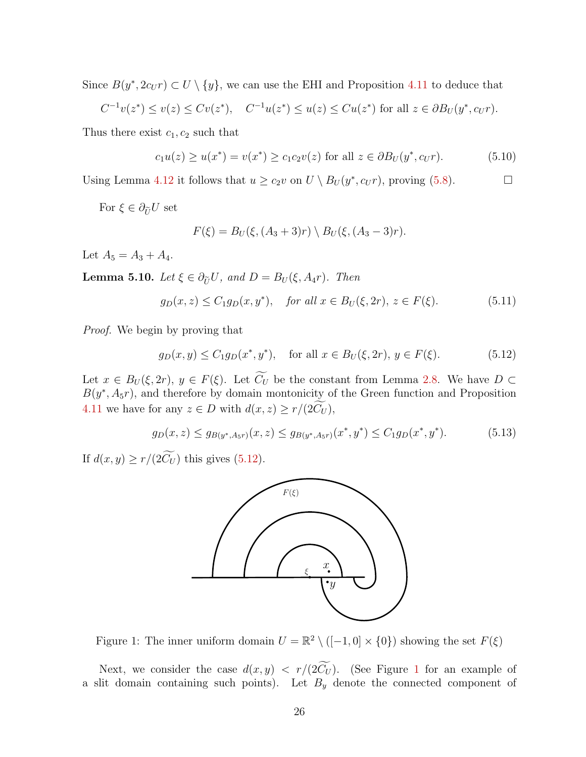Since  $B(y^*, 2c_U r) \subset U \setminus \{y\}$ , we can use the EHI and Proposition [4.11](#page-11-0) to deduce that

$$
C^{-1}v(z^*) \le v(z) \le Cv(z^*), \quad C^{-1}u(z^*) \le u(z) \le Cu(z^*)
$$
 for all  $z \in \partial B_U(y^*, c_U r)$ .

Thus there exist  $c_1, c_2$  such that

$$
c_1 u(z) \ge u(x^*) = v(x^*) \ge c_1 c_2 v(z) \text{ for all } z \in \partial B_U(y^*, c_U r). \tag{5.10}
$$

Using Lemma [4.12](#page-12-1) it follows that  $u \ge c_2v$  on  $U \setminus B_U(y^*, c_Ur)$ , proving [\(5.8\)](#page-24-1).

For  $\xi \in \partial_{\widetilde{U}}U$  set

$$
F(\xi) = B_U(\xi, (A_3 + 3)r) \setminus B_U(\xi, (A_3 - 3)r).
$$

Let  $A_5 = A_3 + A_4$ .

<span id="page-25-4"></span>**Lemma 5.10.** Let  $\xi \in \partial_{\tilde{U}}U$ , and  $D = B_U(\xi, A_4r)$ . Then

<span id="page-25-3"></span>
$$
g_D(x, z) \le C_1 g_D(x, y^*), \quad \text{for all } x \in B_U(\xi, 2r), \ z \in F(\xi).
$$
 (5.11)

Proof. We begin by proving that

<span id="page-25-0"></span>
$$
g_D(x, y) \le C_1 g_D(x^*, y^*),
$$
 for all  $x \in B_U(\xi, 2r), y \in F(\xi).$  (5.12)

Let  $x \in B_U(\xi, 2r)$ ,  $y \in F(\xi)$ . Let  $\widetilde{C}_U$  be the constant from Lemma [2.8.](#page-4-1) We have  $D \subset$  $B(y^*, A_5r)$ , and therefore by domain montonicity of the Green function and Proposition [4.11](#page-11-0) we have for any  $z \in D$  with  $d(x, z) \ge r/(2\widetilde{C}_U)$ ,

<span id="page-25-2"></span>
$$
g_D(x, z) \le g_{B(y^*, A_5 r)}(x, z) \le g_{B(y^*, A_5 r)}(x^*, y^*) \le C_1 g_D(x^*, y^*).
$$
 (5.13)

If  $d(x, y) \ge r/(2\widetilde{C}_U)$  this gives [\(5.12\)](#page-25-0).



<span id="page-25-1"></span>Figure 1: The inner uniform domain  $U = \mathbb{R}^2 \setminus ([-1,0] \times \{0\})$  showing the set  $F(\xi)$ 

Next, we consider the case  $d(x, y) < r/(2\widetilde{C}_U)$ . (See Figure [1](#page-25-1) for an example of a slit domain containing such points). Let  $B_y$  denote the connected component of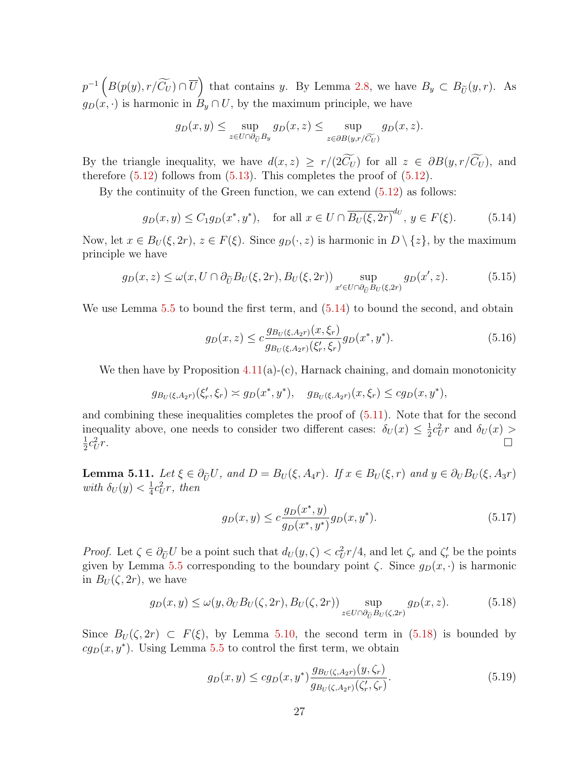$p^{-1}\left(B(p(y), r/\widetilde{C}_U) \cap \overline{U}\right)$  that contains y. By Lemma [2.8,](#page-4-1) we have  $B_y \subset B_{\widetilde{U}}(y,r)$ . As  $g_D(x, \cdot)$  is harmonic in  $B_y \cap U$ , by the maximum principle, we have

$$
g_D(x, y) \le \sup_{z \in U \cap \partial_{\widetilde{U}} B_y} g_D(x, z) \le \sup_{z \in \partial B(y, r/\widetilde{C}_U)} g_D(x, z).
$$

By the triangle inequality, we have  $d(x, z) \geq r/(2\widetilde{C}_U)$  for all  $z \in \partial B(y, r/\widetilde{C}_U)$ , and therefore  $(5.12)$  follows from  $(5.13)$ . This completes the proof of  $(5.12)$ .

By the continuity of the Green function, we can extend [\(5.12\)](#page-25-0) as follows:

<span id="page-26-0"></span>
$$
g_D(x,y) \le C_1 g_D(x^*,y^*), \quad \text{for all } x \in U \cap \overline{B_U(\xi,2r)}^{d_U}, y \in F(\xi). \tag{5.14}
$$

Now, let  $x \in B_U(\xi, 2r)$ ,  $z \in F(\xi)$ . Since  $g_D(\cdot, z)$  is harmonic in  $D \setminus \{z\}$ , by the maximum principle we have

$$
g_D(x, z) \le \omega(x, U \cap \partial_{\widetilde{U}} B_U(\xi, 2r), B_U(\xi, 2r)) \sup_{x' \in U \cap \partial_{\widetilde{U}} B_U(\xi, 2r)} g_D(x', z). \tag{5.15}
$$

We use Lemma [5.5](#page-21-1) to bound the first term, and  $(5.14)$  to bound the second, and obtain

$$
g_D(x,z) \le c \frac{g_{B_U(\xi, A_2r)}(x,\xi_r)}{g_{B_U(\xi, A_2r)}(\xi'_r,\xi_r)} g_D(x^*,y^*).
$$
\n(5.16)

We then have by Proposition  $4.11(a)-(c)$  $4.11(a)-(c)$ , Harnack chaining, and domain monotonicity

$$
g_{B_U(\xi, A_{2r})}(\xi'_r, \xi_r) \approx g_D(x^*, y^*), \quad g_{B_U(\xi, A_{2r})}(x, \xi_r) \leq c g_D(x, y^*),
$$

and combining these inequalities completes the proof of [\(5.11\)](#page-25-3). Note that for the second inequality above, one needs to consider two different cases:  $\delta_U(x) \leq \frac{1}{2}$  $\frac{1}{2}c_U^2r$  and  $\delta_U(x)$ 1  $rac{1}{2}c_U^2$  $r$ .

<span id="page-26-2"></span>**Lemma 5.11.** Let  $\xi \in \partial_{\tilde{U}}U$ , and  $D = B_U(\xi, A_4r)$ . If  $x \in B_U(\xi, r)$  and  $y \in \partial_U B_U(\xi, A_3r)$ with  $\delta_U(y) < \frac{1}{4}$  $rac{1}{4}c_U^2r$ , then

$$
g_D(x,y) \le c \frac{g_D(x^*,y)}{g_D(x^*,y^*)} g_D(x,y^*). \tag{5.17}
$$

*Proof.* Let  $\zeta \in \partial_{\tilde{U}} U$  be a point such that  $d_U(y, \zeta) < c_U^2 r/4$ , and let  $\zeta_r$  and  $\zeta'_r$  be the points given by Lemma [5.5](#page-21-1) corresponding to the boundary point  $\zeta$ . Since  $g_D(x, \cdot)$  is harmonic in  $B_U(\zeta, 2r)$ , we have

<span id="page-26-1"></span>
$$
g_D(x,y) \le \omega(y, \partial_U B_U(\zeta, 2r), B_U(\zeta, 2r)) \sup_{z \in U \cap \partial_{\widetilde{U}} B_U(\zeta, 2r)} g_D(x,z). \tag{5.18}
$$

Since  $B_U(\zeta, 2r) \subset F(\xi)$ , by Lemma [5.10,](#page-25-4) the second term in [\(5.18\)](#page-26-1) is bounded by  $cg_D(x, y^*)$ . Using Lemma [5.5](#page-21-1) to control the first term, we obtain

$$
g_D(x,y) \le cg_D(x,y^*) \frac{g_{B_U(\zeta,A_{2r})}(y,\zeta_r)}{g_{B_U(\zeta,A_{2r})}(\zeta'_r,\zeta_r)}.
$$
\n(5.19)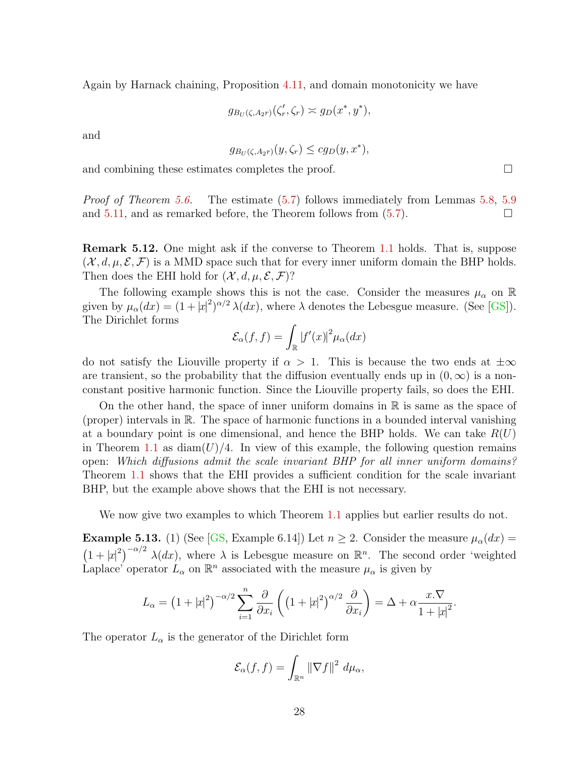Again by Harnack chaining, Proposition [4.11,](#page-11-0) and domain monotonicity we have

$$
g_{B_U(\zeta,A_{2^r})}(\zeta'_r,\zeta_r) \asymp g_D(x^*,y^*),
$$

and

$$
g_{B_U(\zeta, A_2r)}(y, \zeta_r) \le c g_D(y, x^*),
$$

and combining these estimates completes the proof.

Proof of Theorem [5.6.](#page-23-0) The estimate [\(5.7\)](#page-24-0) follows immediately from Lemmas [5.8,](#page-24-2) [5.9](#page-24-3) and [5.11,](#page-26-2) and as remarked before, the Theorem follows from  $(5.7)$ .

Remark 5.12. One might ask if the converse to Theorem [1.1](#page-1-0) holds. That is, suppose  $(\mathcal{X}, d, \mu, \mathcal{E}, \mathcal{F})$  is a MMD space such that for every inner uniform domain the BHP holds. Then does the EHI hold for  $(\mathcal{X}, d, \mu, \mathcal{E}, \mathcal{F})$ ?

The following example shows this is not the case. Consider the measures  $\mu_{\alpha}$  on  $\mathbb R$ given by  $\mu_{\alpha}(dx) = (1+|x|^2)^{\alpha/2} \lambda(dx)$ , where  $\lambda$  denotes the Lebesgue measure. (See [\[GS\]](#page-30-3)). The Dirichlet forms

$$
\mathcal{E}_{\alpha}(f,f) = \int_{\mathbb{R}} |f'(x)|^2 \mu_{\alpha}(dx)
$$

do not satisfy the Liouville property if  $\alpha > 1$ . This is because the two ends at  $\pm \infty$ are transient, so the probability that the diffusion eventually ends up in  $(0, \infty)$  is a nonconstant positive harmonic function. Since the Liouville property fails, so does the EHI.

On the other hand, the space of inner uniform domains in  $\mathbb R$  is same as the space of (proper) intervals in R. The space of harmonic functions in a bounded interval vanishing at a boundary point is one dimensional, and hence the BHP holds. We can take  $R(U)$ in Theorem [1.1](#page-1-0) as  $\text{diam}(U)/4$ . In view of this example, the following question remains open: Which diffusions admit the scale invariant BHP for all inner uniform domains? Theorem [1.1](#page-1-0) shows that the EHI provides a sufficient condition for the scale invariant BHP, but the example above shows that the EHI is not necessary.

We now give two examples to which Theorem [1.1](#page-1-0) applies but earlier results do not.

**Example 5.13.** (1) (See [\[GS,](#page-30-3) Example 6.14]) Let  $n \geq 2$ . Consider the measure  $\mu_{\alpha}(dx)$  =  $(1+|x|^2)^{-\alpha/2} \lambda(dx)$ , where  $\lambda$  is Lebesgue measure on  $\mathbb{R}^n$ . The second order 'weighted Laplace' operator  $L_{\alpha}$  on  $\mathbb{R}^n$  associated with the measure  $\mu_{\alpha}$  is given by

$$
L_{\alpha} = \left(1 + |x|^2\right)^{-\alpha/2} \sum_{i=1}^n \frac{\partial}{\partial x_i} \left( \left(1 + |x|^2\right)^{\alpha/2} \frac{\partial}{\partial x_i} \right) = \Delta + \alpha \frac{x.\nabla}{1 + |x|^2}.
$$

The operator  $L_{\alpha}$  is the generator of the Dirichlet form

$$
\mathcal{E}_{\alpha}(f,f) = \int_{\mathbb{R}^n} \left\| \nabla f \right\|^2 \, d\mu_{\alpha},
$$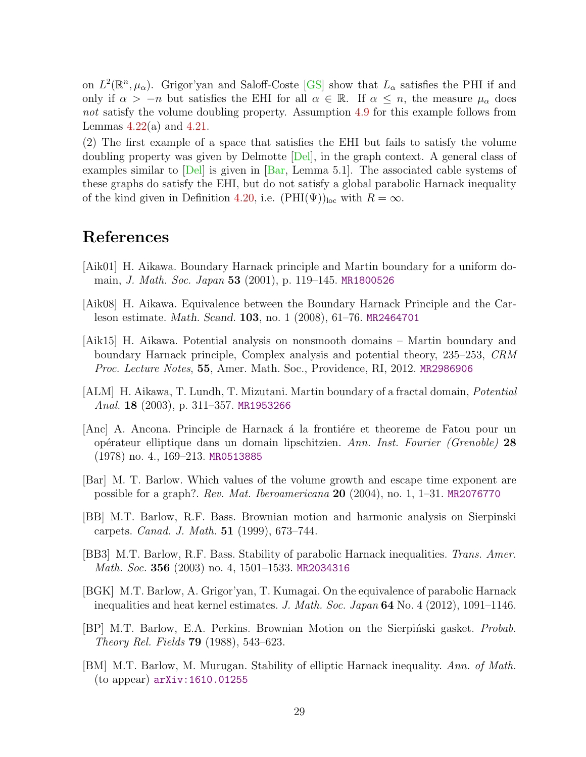on  $L^2(\mathbb{R}^n, \mu_\alpha)$ . Grigor'yan and Saloff-Coste [\[GS\]](#page-30-3) show that  $L_\alpha$  satisfies the PHI if and only if  $\alpha > -n$  but satisfies the EHI for all  $\alpha \in \mathbb{R}$ . If  $\alpha \leq n$ , the measure  $\mu_{\alpha}$  does not satisfy the volume doubling property. Assumption [4.9](#page-9-0) for this example follows from Lemmas  $4.22(a)$  $4.22(a)$  and  $4.21$ .

(2) The first example of a space that satisfies the EHI but fails to satisfy the volume doubling property was given by Delmotte [\[Del\]](#page-29-14), in the graph context. A general class of examples similar to  $\text{[Del]}$  is given in  $\text{[Bar]}$ , Lemma 5.1.. The associated cable systems of these graphs do satisfy the EHI, but do not satisfy a global parabolic Harnack inequality of the kind given in Definition [4.20,](#page-16-3) i.e.  $(PHI(\Psi))_{loc}$  with  $R = \infty$ .

## References

- <span id="page-28-3"></span>[Aik01] H. Aikawa. Boundary Harnack principle and Martin boundary for a uniform domain, J. Math. Soc. Japan 53 (2001), p. 119–145. [MR1800526](http://www.ams.org/mathscinet-getitem?mr=1800526)
- <span id="page-28-2"></span>[Aik08] H. Aikawa. Equivalence between the Boundary Harnack Principle and the Carleson estimate. Math. Scand. 103, no. 1 (2008), 61–76. [MR2464701](http://www.ams.org/mathscinet-getitem?mr=2464701)
- <span id="page-28-5"></span>[Aik15] H. Aikawa. Potential analysis on nonsmooth domains – Martin boundary and boundary Harnack principle, Complex analysis and potential theory, 235–253, CRM Proc. Lecture Notes, 55, Amer. Math. Soc., Providence, RI, 2012. [MR2986906](http://www.ams.org/mathscinet-getitem?mr=2986906)
- <span id="page-28-1"></span>[ALM] H. Aikawa, T. Lundh, T. Mizutani. Martin boundary of a fractal domain, Potential Anal. 18 (2003), p. 311–357. [MR1953266](http://www.ams.org/mathscinet-getitem?mr=1953266)
- <span id="page-28-0"></span>[Anc] A. Ancona. Principle de Harnack à la frontière et theoreme de Fatou pour un op´erateur elliptique dans un domain lipschitzien. Ann. Inst. Fourier (Grenoble) 28 (1978) no. 4., 169–213. [MR0513885](http://www.ams.org/mathscinet-getitem?mr=0513885)
- <span id="page-28-10"></span>[Bar] M. T. Barlow. Which values of the volume growth and escape time exponent are possible for a graph?. Rev. Mat. Iberoamericana 20 (2004), no. 1, 1–31. [MR2076770](http://www.ams.org/mathscinet-getitem?mr=2076770)
- <span id="page-28-9"></span>[BB] M.T. Barlow, R.F. Bass. Brownian motion and harmonic analysis on Sierpinski carpets. Canad. J. Math. 51 (1999), 673–744.
- <span id="page-28-6"></span>[BB3] M.T. Barlow, R.F. Bass. Stability of parabolic Harnack inequalities. Trans. Amer. Math. Soc. 356 (2003) no. 4, 1501-1533. [MR2034316](http://www.ams.org/mathscinet-getitem?mr=2034316)
- <span id="page-28-7"></span>[BGK] M.T. Barlow, A. Grigor'yan, T. Kumagai. On the equivalence of parabolic Harnack inequalities and heat kernel estimates. J. Math. Soc. Japan  $64$  No. 4 (2012), 1091–1146.
- <span id="page-28-8"></span>[BP] M.T. Barlow, E.A. Perkins. Brownian Motion on the Sierpinski gasket. *Probab.* Theory Rel. Fields 79 (1988), 543–623.
- <span id="page-28-4"></span>[BM] M.T. Barlow, M. Murugan. Stability of elliptic Harnack inequality. Ann. of Math. (to appear) [arXiv:1610.01255](http://arxiv.org/abs/1610.01255)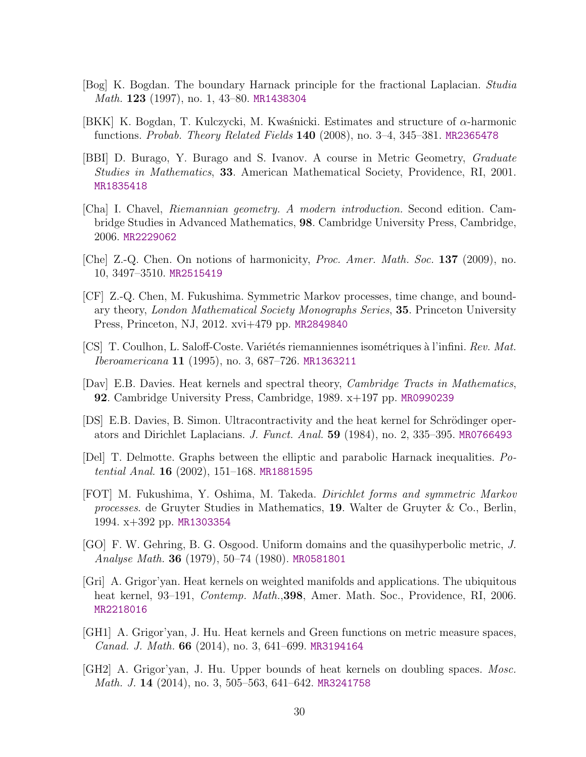- <span id="page-29-0"></span>[Bog] K. Bogdan. The boundary Harnack principle for the fractional Laplacian. Studia Math. **123** (1997), no. 1, 43–80. [MR1438304](http://www.ams.org/mathscinet-getitem?mr=1438304)
- <span id="page-29-1"></span>[BKK] K. Bogdan, T. Kulczycki, M. Kwaśnicki. Estimates and structure of  $\alpha$ -harmonic functions. Probab. Theory Related Fields 140 (2008), no. 3–4, 345–381. [MR2365478](http://www.ams.org/mathscinet-getitem?mr=2365478)
- <span id="page-29-2"></span>[BBI] D. Burago, Y. Burago and S. Ivanov. A course in Metric Geometry, Graduate Studies in Mathematics, 33. American Mathematical Society, Providence, RI, 2001. [MR1835418](http://www.ams.org/mathscinet-getitem?mr=1835418)
- <span id="page-29-13"></span>[Cha] I. Chavel, Riemannian geometry. A modern introduction. Second edition. Cambridge Studies in Advanced Mathematics, 98. Cambridge University Press, Cambridge, 2006. [MR2229062](http://www.ams.org/mathscinet-getitem?mr=2229062)
- <span id="page-29-5"></span>[Che] Z.-Q. Chen. On notions of harmonicity, Proc. Amer. Math. Soc. 137 (2009), no. 10, 3497–3510. [MR2515419](http://www.ams.org/mathscinet-getitem?mr=2515419)
- <span id="page-29-4"></span>[CF] Z.-Q. Chen, M. Fukushima. Symmetric Markov processes, time change, and boundary theory, London Mathematical Society Monographs Series, 35. Princeton University Press, Princeton, NJ, 2012. xvi+479 pp. [MR2849840](http://www.ams.org/mathscinet-getitem?mr=2849840)
- <span id="page-29-11"></span>[CS] T. Coulhon, L. Saloff-Coste. Variétés riemanniennes isométriques à l'infini. Rev. Mat. Iberoamericana 11 (1995), no. 3, 687–726. [MR1363211](http://www.ams.org/mathscinet-getitem?mr=1363211)
- <span id="page-29-9"></span>[Dav] E.B. Davies. Heat kernels and spectral theory, Cambridge Tracts in Mathematics, 92. Cambridge University Press, Cambridge, 1989. x+197 pp. [MR0990239](http://www.ams.org/mathscinet-getitem?mr=0990239)
- <span id="page-29-8"></span>[DS] E.B. Davies, B. Simon. Ultracontractivity and the heat kernel for Schrödinger operators and Dirichlet Laplacians. J. Funct. Anal. 59 (1984), no. 2, 335–395. [MR0766493](http://www.ams.org/mathscinet-getitem?mr=0766493)
- <span id="page-29-14"></span>[Del] T. Delmotte. Graphs between the elliptic and parabolic Harnack inequalities. Potential Anal. 16  $(2002)$ , 151–168. [MR1881595](http://www.ams.org/mathscinet-getitem?mr=1881595)
- <span id="page-29-3"></span>[FOT] M. Fukushima, Y. Oshima, M. Takeda. Dirichlet forms and symmetric Markov processes. de Gruyter Studies in Mathematics, 19. Walter de Gruyter & Co., Berlin, 1994. x+392 pp. [MR1303354](http://www.ams.org/mathscinet-getitem?mr=1303354)
- <span id="page-29-6"></span>[GO] F. W. Gehring, B. G. Osgood. Uniform domains and the quasihyperbolic metric, J. Analyse Math. 36 (1979), 50–74 (1980). [MR0581801](http://www.ams.org/mathscinet-getitem?mr=0581801)
- <span id="page-29-12"></span>[Gri] A. Grigor'yan. Heat kernels on weighted manifolds and applications. The ubiquitous heat kernel, 93–191, *Contemp. Math.*, **398**, Amer. Math. Soc., Providence, RI, 2006. [MR2218016](http://www.ams.org/mathscinet-getitem?mr=2218016)
- <span id="page-29-7"></span>[GH1] A. Grigor'yan, J. Hu. Heat kernels and Green functions on metric measure spaces, Canad. J. Math. 66 (2014), no. 3, 641–699. [MR3194164](http://www.ams.org/mathscinet-getitem?mr=3194164)
- <span id="page-29-10"></span>[GH2] A. Grigor'yan, J. Hu. Upper bounds of heat kernels on doubling spaces. Mosc. Math. J. 14 (2014), no. 3, 505–563, 641–642. [MR3241758](http://www.ams.org/mathscinet-getitem?mr=3241758)